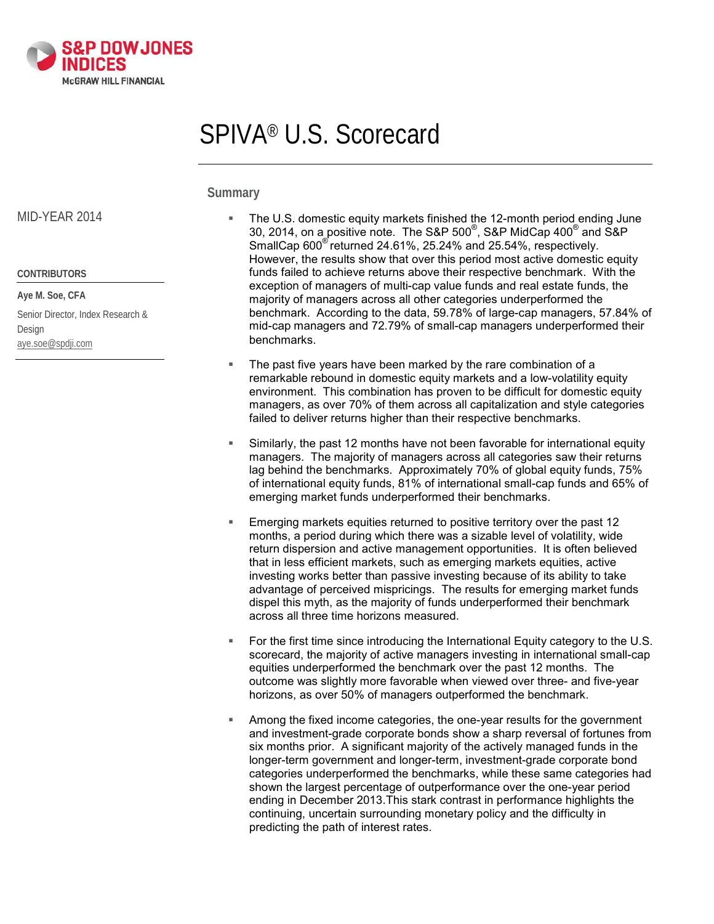

# SPIVA® U.S. Scorecard

**Summary**

#### MID-YEAR 2014

**CONTRIBUTORS Aye M. Soe, CFA**

Senior Director, Index Research & Design [aye.soe@spdji.com](mailto:aye.soe@spdji.com)

- The U.S. domestic equity markets finished the 12-month period ending June 30, 2014, on a positive note. The S&P 500 $^{\circ}$ , S&P MidCap 400 $^{\circ}$  and S&P SmallCap 600<sup>®</sup> returned 24.61%, 25.24% and 25.54%, respectively. However, the results show that over this period most active domestic equity funds failed to achieve returns above their respective benchmark. With the exception of managers of multi-cap value funds and real estate funds, the majority of managers across all other categories underperformed the benchmark. According to the data, 59.78% of large-cap managers, 57.84% of mid-cap managers and 72.79% of small-cap managers underperformed their benchmarks.
- The past five years have been marked by the rare combination of a remarkable rebound in domestic equity markets and a low-volatility equity environment. This combination has proven to be difficult for domestic equity managers, as over 70% of them across all capitalization and style categories failed to deliver returns higher than their respective benchmarks.
- Similarly, the past 12 months have not been favorable for international equity managers. The majority of managers across all categories saw their returns lag behind the benchmarks. Approximately 70% of global equity funds, 75% of international equity funds, 81% of international small-cap funds and 65% of emerging market funds underperformed their benchmarks.
- Emerging markets equities returned to positive territory over the past 12 months, a period during which there was a sizable level of volatility, wide return dispersion and active management opportunities. It is often believed that in less efficient markets, such as emerging markets equities, active investing works better than passive investing because of its ability to take advantage of perceived mispricings. The results for emerging market funds dispel this myth, as the majority of funds underperformed their benchmark across all three time horizons measured.
- For the first time since introducing the International Equity category to the U.S. scorecard, the majority of active managers investing in international small-cap equities underperformed the benchmark over the past 12 months. The outcome was slightly more favorable when viewed over three- and five-year horizons, as over 50% of managers outperformed the benchmark.
- Among the fixed income categories, the one-year results for the government and investment-grade corporate bonds show a sharp reversal of fortunes from six months prior. A significant majority of the actively managed funds in the longer-term government and longer-term, investment-grade corporate bond categories underperformed the benchmarks, while these same categories had shown the largest percentage of outperformance over the one-year period ending in December 2013.This stark contrast in performance highlights the continuing, uncertain surrounding monetary policy and the difficulty in predicting the path of interest rates.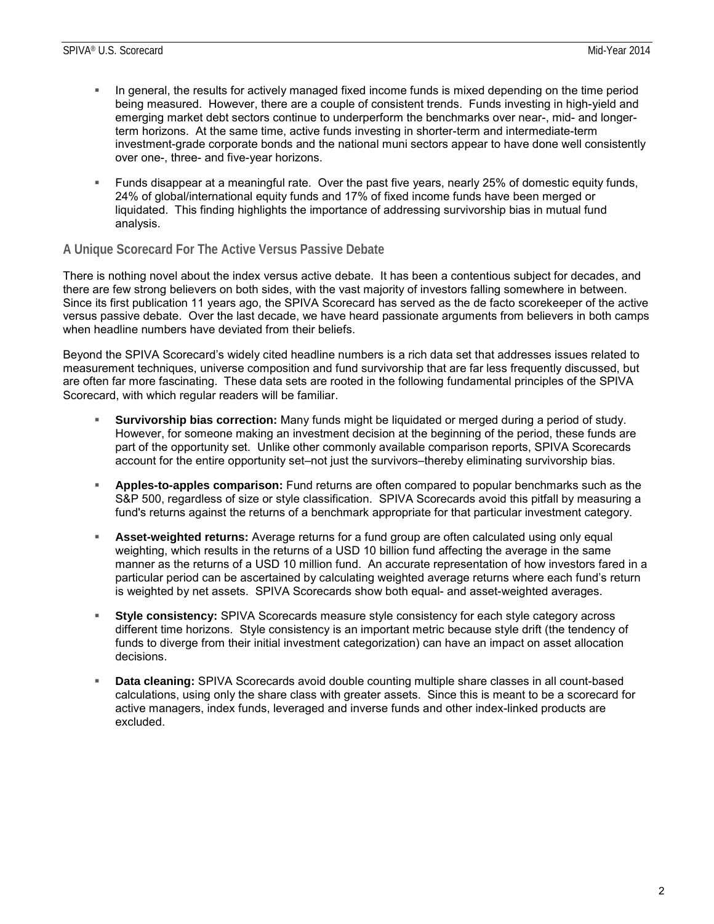- In general, the results for actively managed fixed income funds is mixed depending on the time period being measured. However, there are a couple of consistent trends. Funds investing in high-yield and emerging market debt sectors continue to underperform the benchmarks over near-, mid- and longerterm horizons. At the same time, active funds investing in shorter-term and intermediate-term investment-grade corporate bonds and the national muni sectors appear to have done well consistently over one-, three- and five-year horizons.
- Funds disappear at a meaningful rate. Over the past five years, nearly 25% of domestic equity funds, 24% of global/international equity funds and 17% of fixed income funds have been merged or liquidated. This finding highlights the importance of addressing survivorship bias in mutual fund analysis.

### **A Unique Scorecard For The Active Versus Passive Debate**

There is nothing novel about the index versus active debate. It has been a contentious subject for decades, and there are few strong believers on both sides, with the vast majority of investors falling somewhere in between. Since its first publication 11 years ago, the SPIVA Scorecard has served as the de facto scorekeeper of the active versus passive debate. Over the last decade, we have heard passionate arguments from believers in both camps when headline numbers have deviated from their beliefs.

Beyond the SPIVA Scorecard's widely cited headline numbers is a rich data set that addresses issues related to measurement techniques, universe composition and fund survivorship that are far less frequently discussed, but are often far more fascinating. These data sets are rooted in the following fundamental principles of the SPIVA Scorecard, with which regular readers will be familiar.

- **Survivorship bias correction:** Many funds might be liquidated or merged during a period of study. However, for someone making an investment decision at the beginning of the period, these funds are part of the opportunity set. Unlike other commonly available comparison reports, SPIVA Scorecards account for the entire opportunity set–not just the survivors–thereby eliminating survivorship bias.
- **Apples-to-apples comparison:** Fund returns are often compared to popular benchmarks such as the S&P 500, regardless of size or style classification. SPIVA Scorecards avoid this pitfall by measuring a fund's returns against the returns of a benchmark appropriate for that particular investment category.
- **Asset-weighted returns:** Average returns for a fund group are often calculated using only equal weighting, which results in the returns of a USD 10 billion fund affecting the average in the same manner as the returns of a USD 10 million fund. An accurate representation of how investors fared in a particular period can be ascertained by calculating weighted average returns where each fund's return is weighted by net assets. SPIVA Scorecards show both equal- and asset-weighted averages.
- **Style consistency:** SPIVA Scorecards measure style consistency for each style category across different time horizons. Style consistency is an important metric because style drift (the tendency of funds to diverge from their initial investment categorization) can have an impact on asset allocation decisions.
- **Data cleaning:** SPIVA Scorecards avoid double counting multiple share classes in all count-based calculations, using only the share class with greater assets. Since this is meant to be a scorecard for active managers, index funds, leveraged and inverse funds and other index-linked products are excluded.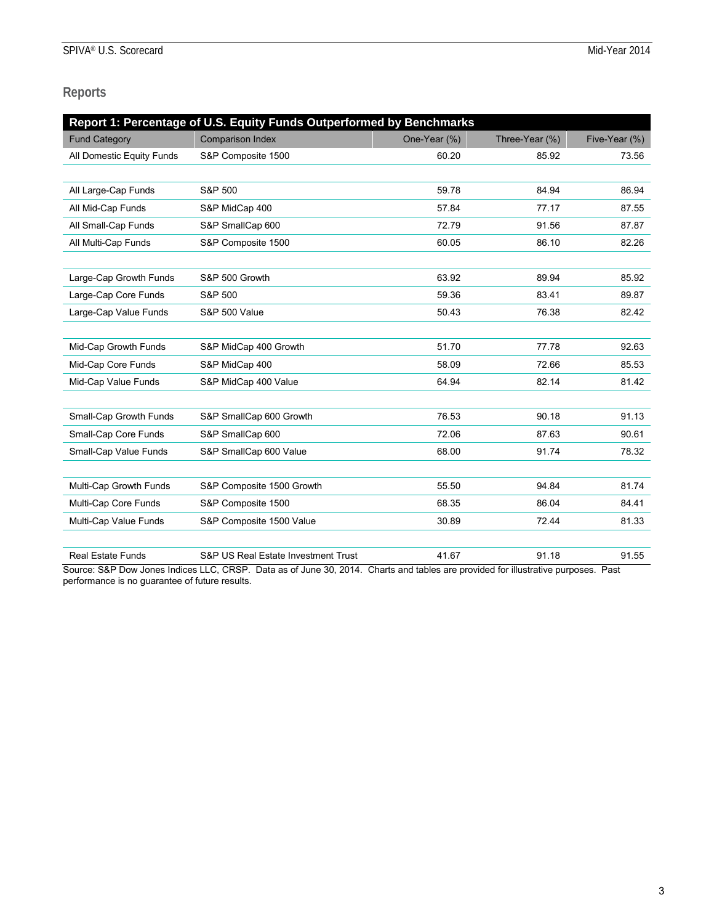# **Reports**

| Report 1: Percentage of U.S. Equity Funds Outperformed by Benchmarks |                                     |              |                |               |  |
|----------------------------------------------------------------------|-------------------------------------|--------------|----------------|---------------|--|
| <b>Fund Category</b>                                                 | <b>Comparison Index</b>             | One-Year (%) | Three-Year (%) | Five-Year (%) |  |
| All Domestic Equity Funds                                            | S&P Composite 1500                  | 60.20        | 85.92          | 73.56         |  |
|                                                                      |                                     |              |                |               |  |
| All Large-Cap Funds                                                  | S&P 500                             | 59.78        | 84.94          | 86.94         |  |
| All Mid-Cap Funds                                                    | S&P MidCap 400                      | 57.84        | 77.17          | 87.55         |  |
| All Small-Cap Funds                                                  | S&P SmallCap 600                    | 72.79        | 91.56          | 87.87         |  |
| All Multi-Cap Funds                                                  | S&P Composite 1500                  | 60.05        | 86.10          | 82.26         |  |
|                                                                      |                                     |              |                |               |  |
| Large-Cap Growth Funds                                               | S&P 500 Growth                      | 63.92        | 89.94          | 85.92         |  |
| Large-Cap Core Funds                                                 | S&P 500                             | 59.36        | 83.41          | 89.87         |  |
| Large-Cap Value Funds                                                | <b>S&amp;P 500 Value</b>            | 50.43        | 76.38          | 82.42         |  |
|                                                                      |                                     |              |                |               |  |
| Mid-Cap Growth Funds                                                 | S&P MidCap 400 Growth               | 51.70        | 77.78          | 92.63         |  |
| Mid-Cap Core Funds                                                   | S&P MidCap 400                      | 58.09        | 72.66          | 85.53         |  |
| Mid-Cap Value Funds                                                  | S&P MidCap 400 Value                | 64.94        | 82.14          | 81.42         |  |
|                                                                      |                                     |              |                |               |  |
| Small-Cap Growth Funds                                               | S&P SmallCap 600 Growth             | 76.53        | 90.18          | 91.13         |  |
| Small-Cap Core Funds                                                 | S&P SmallCap 600                    | 72.06        | 87.63          | 90.61         |  |
| Small-Cap Value Funds                                                | S&P SmallCap 600 Value              | 68.00        | 91.74          | 78.32         |  |
|                                                                      |                                     |              |                |               |  |
| Multi-Cap Growth Funds                                               | S&P Composite 1500 Growth           | 55.50        | 94.84          | 81.74         |  |
| Multi-Cap Core Funds                                                 | S&P Composite 1500                  | 68.35        | 86.04          | 84.41         |  |
| Multi-Cap Value Funds                                                | S&P Composite 1500 Value            | 30.89        | 72.44          | 81.33         |  |
|                                                                      |                                     |              |                |               |  |
| <b>Real Estate Funds</b>                                             | S&P US Real Estate Investment Trust | 41.67        | 91.18          | 91.55         |  |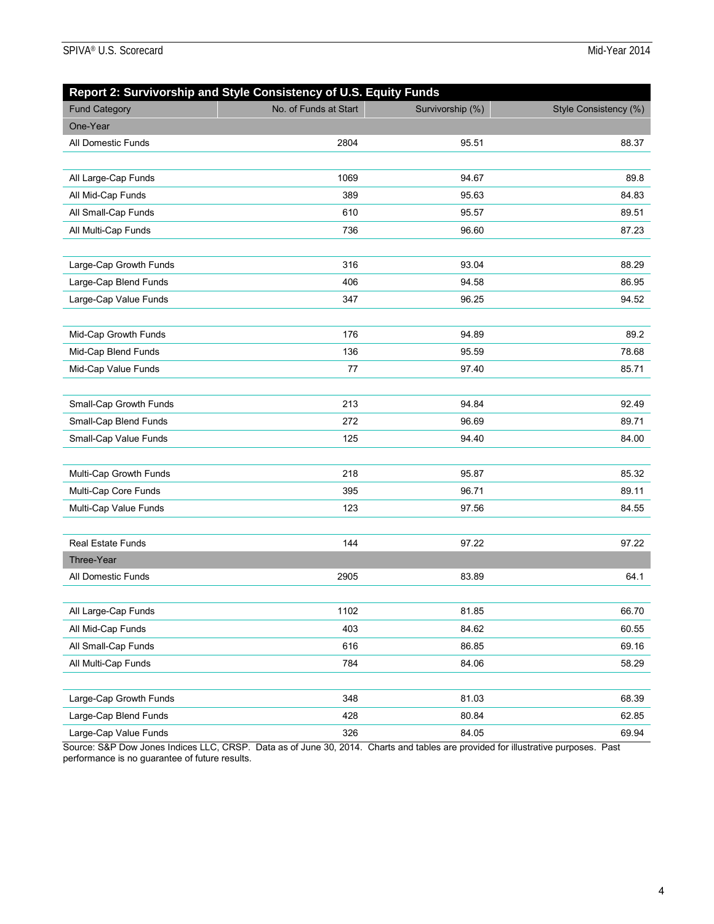| Report 2: Survivorship and Style Consistency of U.S. Equity Funds |                       |                  |                       |  |  |
|-------------------------------------------------------------------|-----------------------|------------------|-----------------------|--|--|
| <b>Fund Category</b>                                              | No. of Funds at Start | Survivorship (%) | Style Consistency (%) |  |  |
| One-Year                                                          |                       |                  |                       |  |  |
| All Domestic Funds                                                | 2804                  | 95.51            | 88.37                 |  |  |
|                                                                   |                       |                  |                       |  |  |
| All Large-Cap Funds                                               | 1069                  | 94.67            | 89.8                  |  |  |
| All Mid-Cap Funds                                                 | 389                   | 95.63            | 84.83                 |  |  |
| All Small-Cap Funds                                               | 610                   | 95.57            | 89.51                 |  |  |
| All Multi-Cap Funds                                               | 736                   | 96.60            | 87.23                 |  |  |
|                                                                   |                       |                  |                       |  |  |
| Large-Cap Growth Funds                                            | 316                   | 93.04            | 88.29                 |  |  |
| Large-Cap Blend Funds                                             | 406                   | 94.58            | 86.95                 |  |  |
| Large-Cap Value Funds                                             | 347                   | 96.25            | 94.52                 |  |  |
|                                                                   |                       |                  |                       |  |  |
| Mid-Cap Growth Funds                                              | 176                   | 94.89            | 89.2                  |  |  |
| Mid-Cap Blend Funds                                               | 136                   | 95.59            | 78.68                 |  |  |
| Mid-Cap Value Funds                                               | 77                    | 97.40            | 85.71                 |  |  |
|                                                                   |                       |                  |                       |  |  |
| Small-Cap Growth Funds                                            | 213                   | 94.84            | 92.49                 |  |  |
| Small-Cap Blend Funds                                             | 272                   | 96.69            | 89.71                 |  |  |
| Small-Cap Value Funds                                             | 125                   | 94.40            | 84.00                 |  |  |
|                                                                   |                       |                  |                       |  |  |
| Multi-Cap Growth Funds                                            | 218                   | 95.87            | 85.32                 |  |  |
| Multi-Cap Core Funds                                              | 395                   | 96.71            | 89.11                 |  |  |
| Multi-Cap Value Funds                                             | 123                   | 97.56            | 84.55                 |  |  |
|                                                                   |                       |                  |                       |  |  |
| <b>Real Estate Funds</b>                                          | 144                   | 97.22            | 97.22                 |  |  |
| Three-Year                                                        |                       |                  |                       |  |  |
| All Domestic Funds                                                | 2905                  | 83.89            | 64.1                  |  |  |
|                                                                   |                       |                  |                       |  |  |
| All Large-Cap Funds                                               | 1102                  | 81.85            | 66.70                 |  |  |
| All Mid-Cap Funds                                                 | 403                   | 84.62            | 60.55                 |  |  |
| All Small-Cap Funds                                               | 616                   | 86.85            | 69.16                 |  |  |
| All Multi-Cap Funds                                               | 784                   | 84.06            | 58.29                 |  |  |
|                                                                   |                       |                  |                       |  |  |
| Large-Cap Growth Funds                                            | 348                   | 81.03            | 68.39                 |  |  |
| Large-Cap Blend Funds                                             | 428                   | 80.84            | 62.85                 |  |  |
| Large-Cap Value Funds                                             | 326                   | 84.05            | 69.94                 |  |  |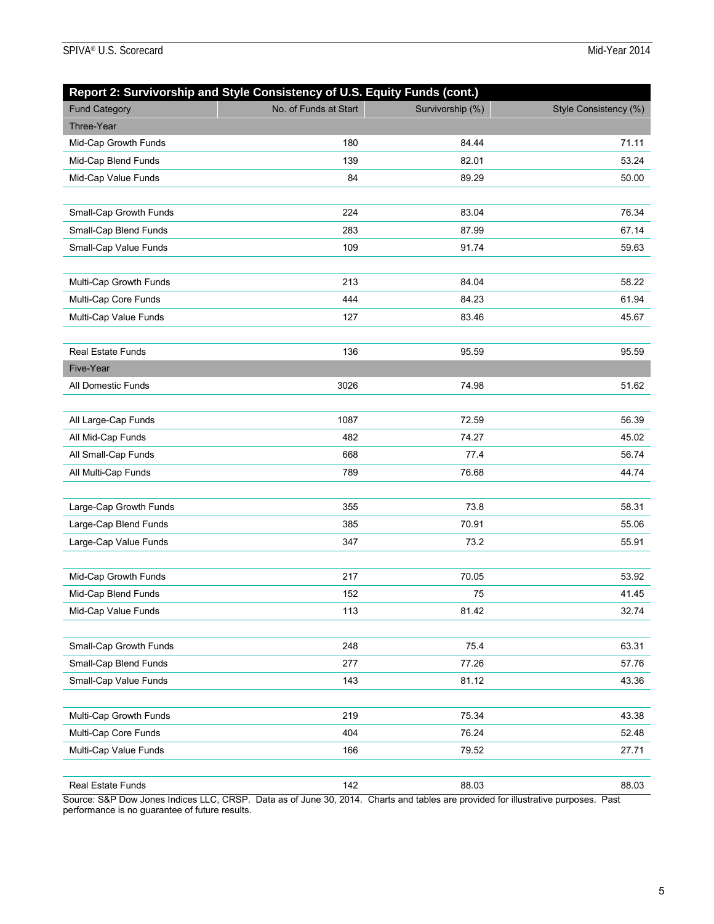| Report 2: Survivorship and Style Consistency of U.S. Equity Funds (cont.) |                       |                  |                       |
|---------------------------------------------------------------------------|-----------------------|------------------|-----------------------|
| <b>Fund Category</b>                                                      | No. of Funds at Start | Survivorship (%) | Style Consistency (%) |
| Three-Year                                                                |                       |                  |                       |
| Mid-Cap Growth Funds                                                      | 180                   | 84.44            | 71.11                 |
| Mid-Cap Blend Funds                                                       | 139                   | 82.01            | 53.24                 |
| Mid-Cap Value Funds                                                       | 84                    | 89.29            | 50.00                 |
|                                                                           |                       |                  |                       |
| Small-Cap Growth Funds                                                    | 224                   | 83.04            | 76.34                 |
| Small-Cap Blend Funds                                                     | 283                   | 87.99            | 67.14                 |
| Small-Cap Value Funds                                                     | 109                   | 91.74            | 59.63                 |
|                                                                           |                       |                  |                       |
| Multi-Cap Growth Funds                                                    | 213                   | 84.04            | 58.22                 |
| Multi-Cap Core Funds                                                      | 444                   | 84.23            | 61.94                 |
| Multi-Cap Value Funds                                                     | 127                   | 83.46            | 45.67                 |
|                                                                           |                       |                  |                       |
| <b>Real Estate Funds</b>                                                  | 136                   | 95.59            | 95.59                 |
| Five-Year                                                                 |                       |                  |                       |
| All Domestic Funds                                                        | 3026                  | 74.98            | 51.62                 |
|                                                                           |                       |                  |                       |
| All Large-Cap Funds                                                       | 1087                  | 72.59            | 56.39                 |
| All Mid-Cap Funds                                                         | 482                   | 74.27            | 45.02                 |
| All Small-Cap Funds                                                       | 668                   | 77.4             | 56.74                 |
| All Multi-Cap Funds                                                       | 789                   | 76.68            | 44.74                 |
|                                                                           |                       |                  |                       |
| Large-Cap Growth Funds                                                    | 355                   | 73.8             | 58.31                 |
| Large-Cap Blend Funds                                                     | 385                   | 70.91            | 55.06                 |
| Large-Cap Value Funds                                                     | 347                   | 73.2             | 55.91                 |
|                                                                           |                       |                  |                       |
| Mid-Cap Growth Funds                                                      | 217                   | 70.05            | 53.92                 |
| Mid-Cap Blend Funds                                                       | 152                   | 75               | 41.45                 |
| Mid-Cap Value Funds                                                       | 113                   | 81.42            | 32.74                 |
|                                                                           |                       |                  |                       |
| Small-Cap Growth Funds                                                    | 248                   | 75.4             | 63.31                 |
| Small-Cap Blend Funds                                                     | 277                   | 77.26            | 57.76                 |
| Small-Cap Value Funds                                                     | 143                   | 81.12            | 43.36                 |
|                                                                           |                       |                  |                       |
| Multi-Cap Growth Funds                                                    | 219                   | 75.34            | 43.38                 |
| Multi-Cap Core Funds                                                      | 404                   | 76.24            | 52.48                 |
| Multi-Cap Value Funds                                                     | 166                   | 79.52            | 27.71                 |
|                                                                           |                       |                  |                       |
| Real Estate Funds                                                         | 142                   | 88.03            | 88.03                 |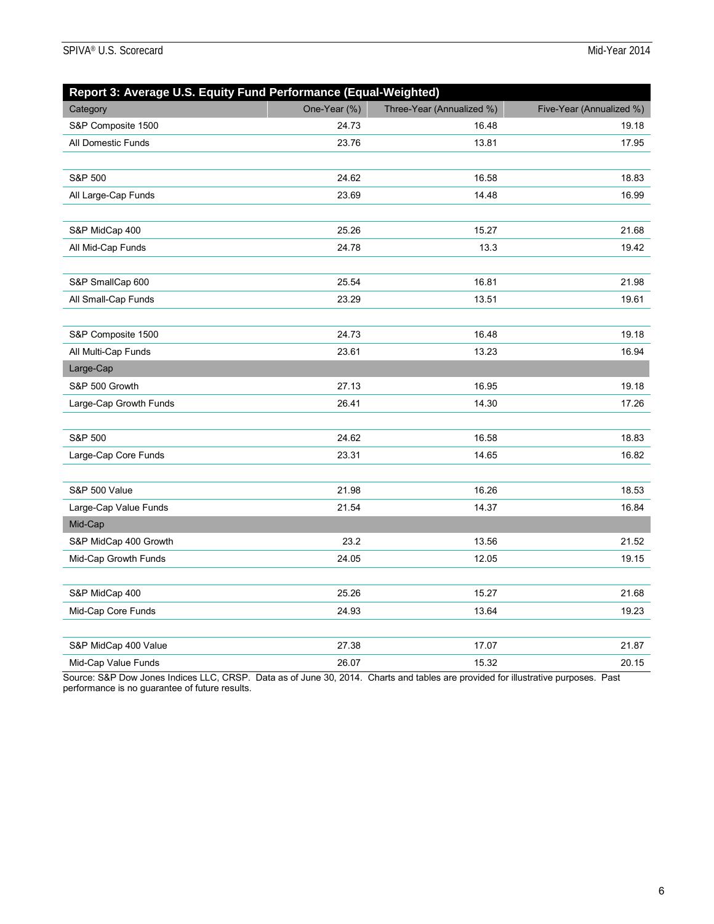| Report 3: Average U.S. Equity Fund Performance (Equal-Weighted) |              |                           |                          |  |  |  |
|-----------------------------------------------------------------|--------------|---------------------------|--------------------------|--|--|--|
| Category                                                        | One-Year (%) | Three-Year (Annualized %) | Five-Year (Annualized %) |  |  |  |
| S&P Composite 1500                                              | 24.73        | 16.48                     | 19.18                    |  |  |  |
| All Domestic Funds                                              | 23.76        | 13.81                     | 17.95                    |  |  |  |
|                                                                 |              |                           |                          |  |  |  |
| S&P 500                                                         | 24.62        | 16.58                     | 18.83                    |  |  |  |
| All Large-Cap Funds                                             | 23.69        | 14.48                     | 16.99                    |  |  |  |
|                                                                 |              |                           |                          |  |  |  |
| S&P MidCap 400                                                  | 25.26        | 15.27                     | 21.68                    |  |  |  |
| All Mid-Cap Funds                                               | 24.78        | 13.3                      | 19.42                    |  |  |  |
|                                                                 |              |                           |                          |  |  |  |
| S&P SmallCap 600                                                | 25.54        | 16.81                     | 21.98                    |  |  |  |
| All Small-Cap Funds                                             | 23.29        | 13.51                     | 19.61                    |  |  |  |
|                                                                 |              |                           |                          |  |  |  |
| S&P Composite 1500                                              | 24.73        | 16.48                     | 19.18                    |  |  |  |
| All Multi-Cap Funds                                             | 23.61        | 13.23                     | 16.94                    |  |  |  |
| Large-Cap                                                       |              |                           |                          |  |  |  |
| S&P 500 Growth                                                  | 27.13        | 16.95                     | 19.18                    |  |  |  |
| Large-Cap Growth Funds                                          | 26.41        | 14.30                     | 17.26                    |  |  |  |
|                                                                 |              |                           |                          |  |  |  |
| S&P 500                                                         | 24.62        | 16.58                     | 18.83                    |  |  |  |
| Large-Cap Core Funds                                            | 23.31        | 14.65                     | 16.82                    |  |  |  |
|                                                                 |              |                           |                          |  |  |  |
| S&P 500 Value                                                   | 21.98        | 16.26                     | 18.53                    |  |  |  |
| Large-Cap Value Funds                                           | 21.54        | 14.37                     | 16.84                    |  |  |  |
| Mid-Cap                                                         |              |                           |                          |  |  |  |
| S&P MidCap 400 Growth                                           | 23.2         | 13.56                     | 21.52                    |  |  |  |
| Mid-Cap Growth Funds                                            | 24.05        | 12.05                     | 19.15                    |  |  |  |
|                                                                 |              |                           |                          |  |  |  |
| S&P MidCap 400                                                  | 25.26        | 15.27                     | 21.68                    |  |  |  |
| Mid-Cap Core Funds                                              | 24.93        | 13.64                     | 19.23                    |  |  |  |
|                                                                 |              |                           |                          |  |  |  |
| S&P MidCap 400 Value                                            | 27.38        | 17.07                     | 21.87                    |  |  |  |
| Mid-Cap Value Funds                                             | 26.07        | 15.32                     | 20.15                    |  |  |  |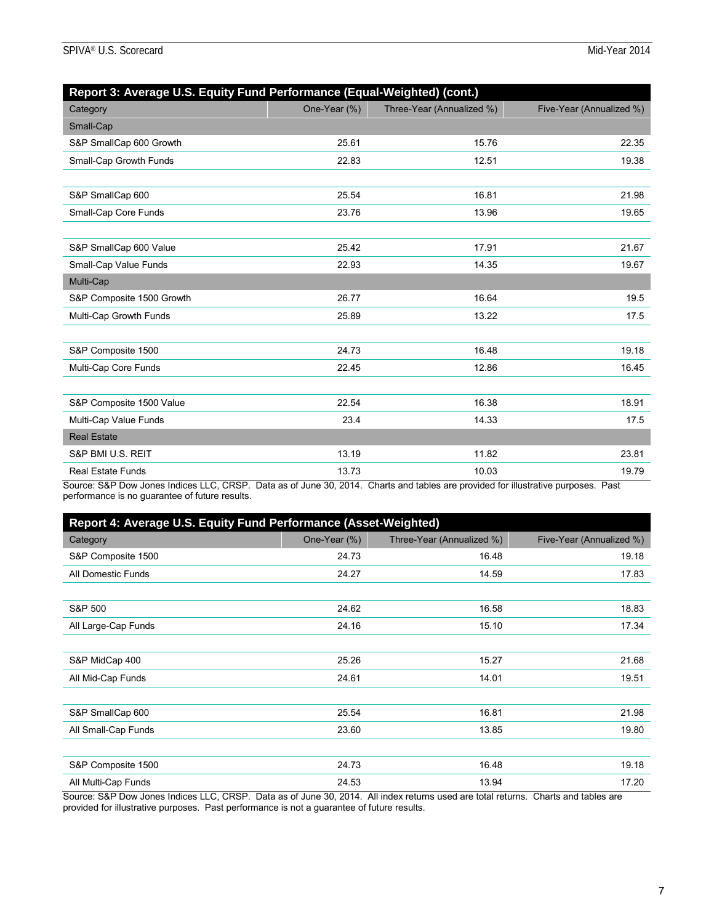| Report 3: Average U.S. Equity Fund Performance (Equal-Weighted) (cont.) |              |                           |                          |  |  |  |
|-------------------------------------------------------------------------|--------------|---------------------------|--------------------------|--|--|--|
| Category                                                                | One-Year (%) | Three-Year (Annualized %) | Five-Year (Annualized %) |  |  |  |
| Small-Cap                                                               |              |                           |                          |  |  |  |
| S&P SmallCap 600 Growth                                                 | 25.61        | 15.76                     | 22.35                    |  |  |  |
| Small-Cap Growth Funds                                                  | 22.83        | 12.51                     | 19.38                    |  |  |  |
|                                                                         |              |                           |                          |  |  |  |
| S&P SmallCap 600                                                        | 25.54        | 16.81                     | 21.98                    |  |  |  |
| Small-Cap Core Funds                                                    | 23.76        | 13.96                     | 19.65                    |  |  |  |
|                                                                         |              |                           |                          |  |  |  |
| S&P SmallCap 600 Value                                                  | 25.42        | 17.91                     | 21.67                    |  |  |  |
| Small-Cap Value Funds                                                   | 22.93        | 14.35                     | 19.67                    |  |  |  |
| Multi-Cap                                                               |              |                           |                          |  |  |  |
| S&P Composite 1500 Growth                                               | 26.77        | 16.64                     | 19.5                     |  |  |  |
| Multi-Cap Growth Funds                                                  | 25.89        | 13.22                     | 17.5                     |  |  |  |
|                                                                         |              |                           |                          |  |  |  |
| S&P Composite 1500                                                      | 24.73        | 16.48                     | 19.18                    |  |  |  |
| Multi-Cap Core Funds                                                    | 22.45        | 12.86                     | 16.45                    |  |  |  |
|                                                                         |              |                           |                          |  |  |  |
| S&P Composite 1500 Value                                                | 22.54        | 16.38                     | 18.91                    |  |  |  |
| Multi-Cap Value Funds                                                   | 23.4         | 14.33                     | 17.5                     |  |  |  |
| <b>Real Estate</b>                                                      |              |                           |                          |  |  |  |
| S&P BMI U.S. REIT                                                       | 13.19        | 11.82                     | 23.81                    |  |  |  |
| <b>Real Estate Funds</b>                                                | 13.73        | 10.03                     | 19.79                    |  |  |  |

Source: S&P Dow Jones Indices LLC, CRSP. Data as of June 30, 2014. Charts and tables are provided for illustrative purposes. Past performance is no guarantee of future results.

| Report 4: Average U.S. Equity Fund Performance (Asset-Weighted) |              |                           |                          |  |  |  |
|-----------------------------------------------------------------|--------------|---------------------------|--------------------------|--|--|--|
| Category                                                        | One-Year (%) | Three-Year (Annualized %) | Five-Year (Annualized %) |  |  |  |
| S&P Composite 1500                                              | 24.73        | 16.48                     | 19.18                    |  |  |  |
| All Domestic Funds                                              | 24.27        | 14.59                     | 17.83                    |  |  |  |
|                                                                 |              |                           |                          |  |  |  |
| S&P 500                                                         | 24.62        | 16.58                     | 18.83                    |  |  |  |
| All Large-Cap Funds                                             | 24.16        | 15.10                     | 17.34                    |  |  |  |
|                                                                 |              |                           |                          |  |  |  |
| S&P MidCap 400                                                  | 25.26        | 15.27                     | 21.68                    |  |  |  |
| All Mid-Cap Funds                                               | 24.61        | 14.01                     | 19.51                    |  |  |  |
|                                                                 |              |                           |                          |  |  |  |
| S&P SmallCap 600                                                | 25.54        | 16.81                     | 21.98                    |  |  |  |
| All Small-Cap Funds                                             | 23.60        | 13.85                     | 19.80                    |  |  |  |
|                                                                 |              |                           |                          |  |  |  |
| S&P Composite 1500                                              | 24.73        | 16.48                     | 19.18                    |  |  |  |
| All Multi-Cap Funds                                             | 24.53        | 13.94                     | 17.20                    |  |  |  |

Source: S&P Dow Jones Indices LLC, CRSP. Data as of June 30, 2014. All index returns used are total returns. Charts and tables are provided for illustrative purposes. Past performance is not a guarantee of future results.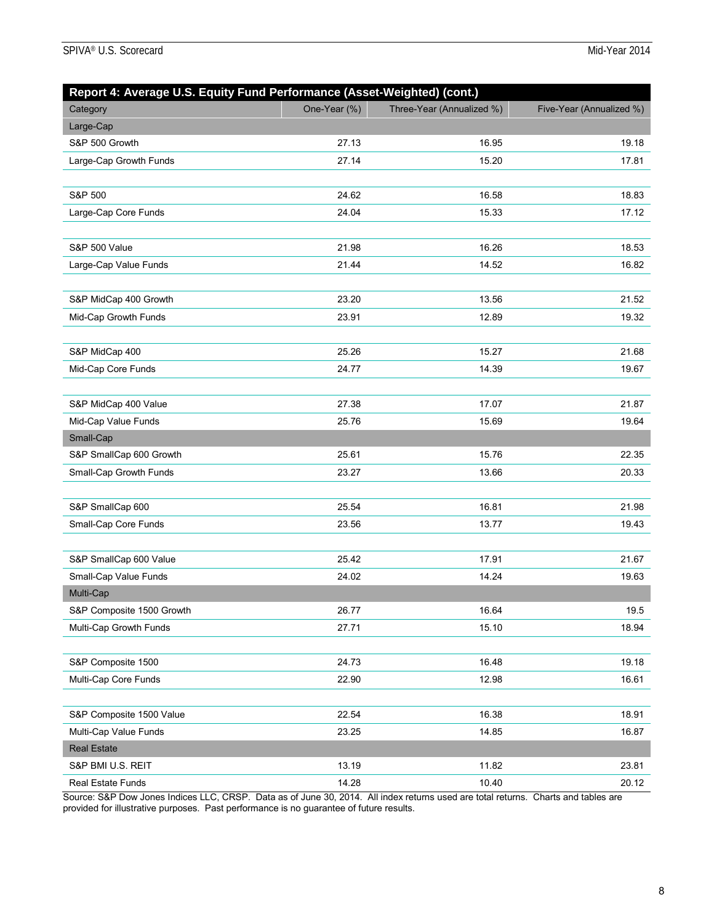| Report 4: Average U.S. Equity Fund Performance (Asset-Weighted) (cont.) |              |                           |                          |  |  |  |
|-------------------------------------------------------------------------|--------------|---------------------------|--------------------------|--|--|--|
| Category                                                                | One-Year (%) | Three-Year (Annualized %) | Five-Year (Annualized %) |  |  |  |
| Large-Cap                                                               |              |                           |                          |  |  |  |
| S&P 500 Growth                                                          | 27.13        | 16.95                     | 19.18                    |  |  |  |
| Large-Cap Growth Funds                                                  | 27.14        | 15.20                     | 17.81                    |  |  |  |
|                                                                         |              |                           |                          |  |  |  |
| S&P 500                                                                 | 24.62        | 16.58                     | 18.83                    |  |  |  |
| Large-Cap Core Funds                                                    | 24.04        | 15.33                     | 17.12                    |  |  |  |
|                                                                         |              |                           |                          |  |  |  |
| S&P 500 Value                                                           | 21.98        | 16.26                     | 18.53                    |  |  |  |
| Large-Cap Value Funds                                                   | 21.44        | 14.52                     | 16.82                    |  |  |  |
|                                                                         |              |                           |                          |  |  |  |
| S&P MidCap 400 Growth                                                   | 23.20        | 13.56                     | 21.52                    |  |  |  |
| Mid-Cap Growth Funds                                                    | 23.91        | 12.89                     | 19.32                    |  |  |  |
|                                                                         |              |                           |                          |  |  |  |
| S&P MidCap 400                                                          | 25.26        | 15.27                     | 21.68                    |  |  |  |
| Mid-Cap Core Funds                                                      | 24.77        | 14.39                     | 19.67                    |  |  |  |
|                                                                         |              |                           |                          |  |  |  |
| S&P MidCap 400 Value                                                    | 27.38        | 17.07                     | 21.87                    |  |  |  |
| Mid-Cap Value Funds                                                     | 25.76        | 15.69                     | 19.64                    |  |  |  |
| Small-Cap                                                               |              |                           |                          |  |  |  |
| S&P SmallCap 600 Growth                                                 | 25.61        | 15.76                     | 22.35                    |  |  |  |
| Small-Cap Growth Funds                                                  | 23.27        | 13.66                     | 20.33                    |  |  |  |
|                                                                         |              |                           |                          |  |  |  |
| S&P SmallCap 600                                                        | 25.54        | 16.81                     | 21.98                    |  |  |  |
| Small-Cap Core Funds                                                    | 23.56        | 13.77                     | 19.43                    |  |  |  |
|                                                                         |              |                           |                          |  |  |  |
| S&P SmallCap 600 Value                                                  | 25.42        | 17.91                     | 21.67                    |  |  |  |
| Small-Cap Value Funds                                                   | 24.02        | 14.24                     | 19.63                    |  |  |  |
| Multi-Cap                                                               |              |                           |                          |  |  |  |
| S&P Composite 1500 Growth                                               | 26.77        | 16.64                     | 19.5                     |  |  |  |
| Multi-Cap Growth Funds                                                  | 27.71        | 15.10                     | 18.94                    |  |  |  |
|                                                                         |              |                           |                          |  |  |  |
| S&P Composite 1500                                                      | 24.73        | 16.48                     | 19.18                    |  |  |  |
| Multi-Cap Core Funds                                                    | 22.90        | 12.98                     | 16.61                    |  |  |  |
|                                                                         |              |                           |                          |  |  |  |
| S&P Composite 1500 Value                                                | 22.54        | 16.38                     | 18.91                    |  |  |  |
| Multi-Cap Value Funds                                                   | 23.25        | 14.85                     | 16.87                    |  |  |  |
| <b>Real Estate</b>                                                      |              |                           |                          |  |  |  |
| S&P BMI U.S. REIT                                                       | 13.19        | 11.82                     | 23.81                    |  |  |  |
| <b>Real Estate Funds</b>                                                | 14.28        | 10.40                     | 20.12                    |  |  |  |

Source: S&P Dow Jones Indices LLC, CRSP. Data as of June 30, 2014. All index returns used are total returns. Charts and tables are provided for illustrative purposes. Past performance is no guarantee of future results.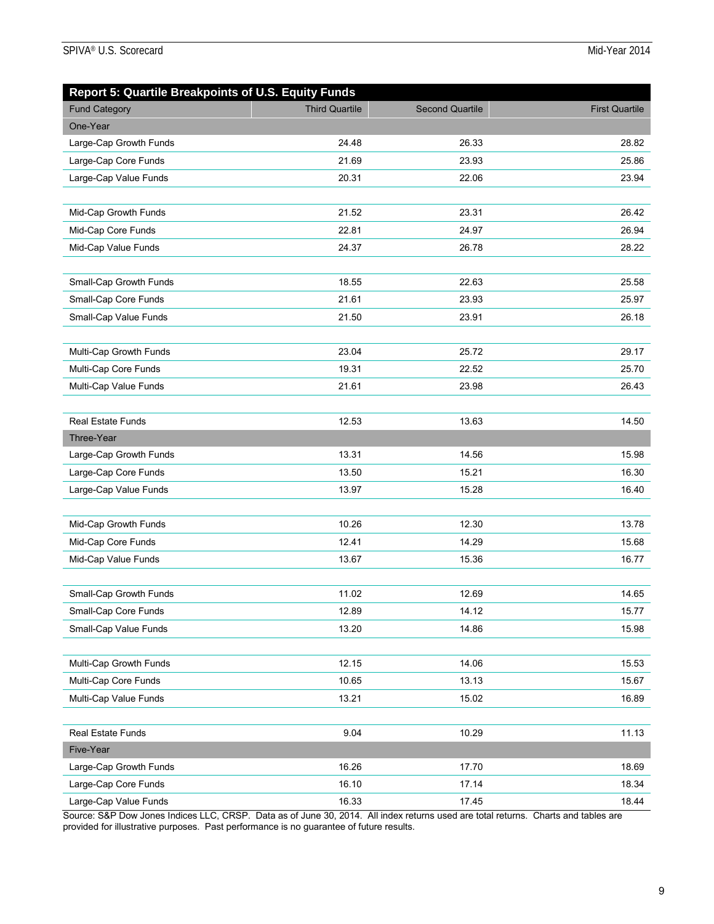| <b>Report 5: Quartile Breakpoints of U.S. Equity Funds</b> |                       |                        |                       |
|------------------------------------------------------------|-----------------------|------------------------|-----------------------|
| <b>Fund Category</b>                                       | <b>Third Quartile</b> | <b>Second Quartile</b> | <b>First Quartile</b> |
| One-Year                                                   |                       |                        |                       |
| Large-Cap Growth Funds                                     | 24.48                 | 26.33                  | 28.82                 |
| Large-Cap Core Funds                                       | 21.69                 | 23.93                  | 25.86                 |
| Large-Cap Value Funds                                      | 20.31                 | 22.06                  | 23.94                 |
|                                                            |                       |                        |                       |
| Mid-Cap Growth Funds                                       | 21.52                 | 23.31                  | 26.42                 |
| Mid-Cap Core Funds                                         | 22.81                 | 24.97                  | 26.94                 |
| Mid-Cap Value Funds                                        | 24.37                 | 26.78                  | 28.22                 |
|                                                            |                       |                        |                       |
| Small-Cap Growth Funds                                     | 18.55                 | 22.63                  | 25.58                 |
| Small-Cap Core Funds                                       | 21.61                 | 23.93                  | 25.97                 |
| Small-Cap Value Funds                                      | 21.50                 | 23.91                  | 26.18                 |
|                                                            |                       |                        |                       |
| Multi-Cap Growth Funds                                     | 23.04                 | 25.72                  | 29.17                 |
| Multi-Cap Core Funds                                       | 19.31                 | 22.52                  | 25.70                 |
| Multi-Cap Value Funds                                      | 21.61                 | 23.98                  | 26.43                 |
|                                                            |                       |                        |                       |
| <b>Real Estate Funds</b>                                   | 12.53                 | 13.63                  | 14.50                 |
| Three-Year                                                 |                       |                        |                       |
| Large-Cap Growth Funds                                     | 13.31                 | 14.56                  | 15.98                 |
| Large-Cap Core Funds                                       | 13.50                 | 15.21                  | 16.30                 |
| Large-Cap Value Funds                                      | 13.97                 | 15.28                  | 16.40                 |
|                                                            |                       |                        |                       |
| Mid-Cap Growth Funds                                       | 10.26                 | 12.30                  | 13.78                 |
| Mid-Cap Core Funds                                         | 12.41                 | 14.29                  | 15.68                 |
| Mid-Cap Value Funds                                        | 13.67                 | 15.36                  | 16.77                 |
|                                                            |                       |                        |                       |
| Small-Cap Growth Funds                                     | 11.02                 | 12.69                  | 14.65                 |
| Small-Cap Core Funds                                       | 12.89                 | 14.12                  | 15.77                 |
| Small-Cap Value Funds                                      | 13.20                 | 14.86                  | 15.98                 |
|                                                            |                       |                        |                       |
| Multi-Cap Growth Funds                                     | 12.15                 | 14.06                  | 15.53                 |
| Multi-Cap Core Funds                                       | 10.65                 | 13.13                  | 15.67                 |
| Multi-Cap Value Funds                                      | 13.21                 | 15.02                  | 16.89                 |
|                                                            |                       |                        |                       |
| Real Estate Funds                                          | 9.04                  | 10.29                  | 11.13                 |
| Five-Year                                                  |                       |                        |                       |
| Large-Cap Growth Funds                                     | 16.26                 | 17.70                  | 18.69                 |
| Large-Cap Core Funds                                       | 16.10                 | 17.14                  | 18.34                 |
| Large-Cap Value Funds                                      | 16.33                 | 17.45                  | 18.44                 |

Source: S&P Dow Jones Indices LLC, CRSP. Data as of June 30, 2014. All index returns used are total returns. Charts and tables are provided for illustrative purposes. Past performance is no guarantee of future results.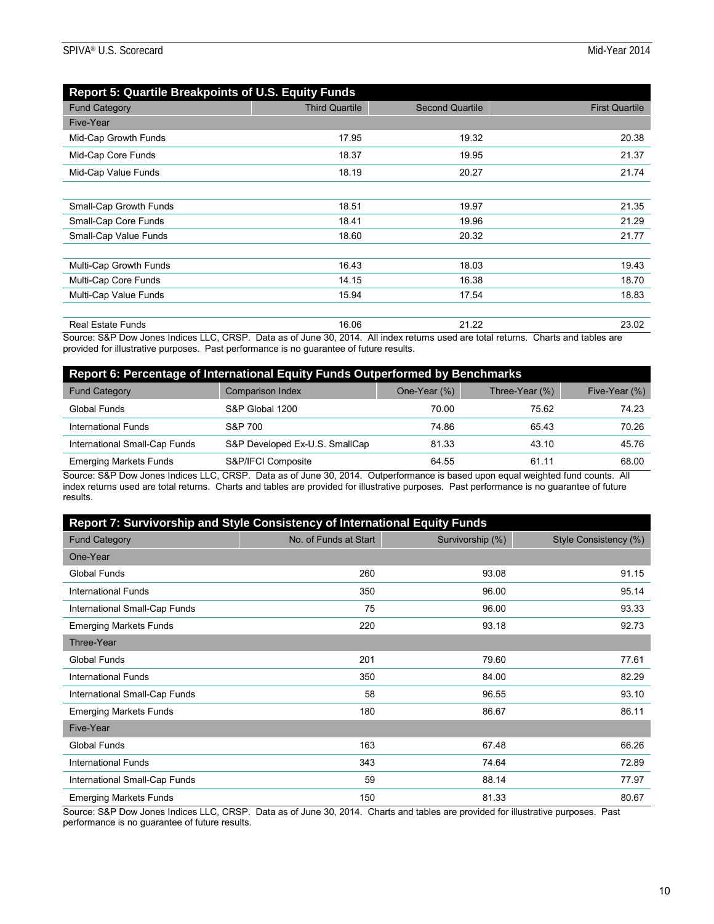| <b>Report 5: Quartile Breakpoints of U.S. Equity Funds</b> |                       |                        |                       |  |  |  |
|------------------------------------------------------------|-----------------------|------------------------|-----------------------|--|--|--|
| <b>Fund Category</b>                                       | <b>Third Quartile</b> | <b>Second Quartile</b> | <b>First Quartile</b> |  |  |  |
| Five-Year                                                  |                       |                        |                       |  |  |  |
| Mid-Cap Growth Funds                                       | 17.95                 | 19.32                  | 20.38                 |  |  |  |
| Mid-Cap Core Funds                                         | 18.37                 | 19.95                  | 21.37                 |  |  |  |
| Mid-Cap Value Funds                                        | 18.19                 | 20.27                  | 21.74                 |  |  |  |
|                                                            |                       |                        |                       |  |  |  |
| Small-Cap Growth Funds                                     | 18.51                 | 19.97                  | 21.35                 |  |  |  |
| Small-Cap Core Funds                                       | 18.41                 | 19.96                  | 21.29                 |  |  |  |
| Small-Cap Value Funds                                      | 18.60                 | 20.32                  | 21.77                 |  |  |  |
|                                                            |                       |                        |                       |  |  |  |
| Multi-Cap Growth Funds                                     | 16.43                 | 18.03                  | 19.43                 |  |  |  |
| Multi-Cap Core Funds                                       | 14.15                 | 16.38                  | 18.70                 |  |  |  |
| Multi-Cap Value Funds                                      | 15.94                 | 17.54                  | 18.83                 |  |  |  |
|                                                            |                       |                        |                       |  |  |  |
| <b>Real Estate Funds</b>                                   | 16.06                 | 21.22                  | 23.02                 |  |  |  |

Source: S&P Dow Jones Indices LLC, CRSP. Data as of June 30, 2014. All index returns used are total returns. Charts and tables are provided for illustrative purposes. Past performance is no guarantee of future results.

| Report 6: Percentage of International Equity Funds Outperformed by Benchmarks |                                |              |                   |               |  |
|-------------------------------------------------------------------------------|--------------------------------|--------------|-------------------|---------------|--|
| <b>Fund Category</b>                                                          | <b>Comparison Index</b>        | One-Year (%) | Three-Year $(\%)$ | Five-Year (%) |  |
| <b>Global Funds</b>                                                           | S&P Global 1200                | 70.00        | 75.62             | 74.23         |  |
| International Funds                                                           | S&P 700                        | 74.86        | 65.43             | 70.26         |  |
| International Small-Cap Funds                                                 | S&P Developed Ex-U.S. SmallCap | 81.33        | 43.10             | 45.76         |  |
| <b>Emerging Markets Funds</b>                                                 | S&P/IFCI Composite             | 64.55        | 61.11             | 68.00         |  |

Source: S&P Dow Jones Indices LLC, CRSP. Data as of June 30, 2014. Outperformance is based upon equal weighted fund counts. All index returns used are total returns. Charts and tables are provided for illustrative purposes. Past performance is no guarantee of future results.

| Report 7: Survivorship and Style Consistency of International Equity Funds |                       |                  |                       |  |  |  |
|----------------------------------------------------------------------------|-----------------------|------------------|-----------------------|--|--|--|
| <b>Fund Category</b>                                                       | No. of Funds at Start | Survivorship (%) | Style Consistency (%) |  |  |  |
| One-Year                                                                   |                       |                  |                       |  |  |  |
| <b>Global Funds</b>                                                        | 260                   | 93.08            | 91.15                 |  |  |  |
| International Funds                                                        | 350                   | 96.00            | 95.14                 |  |  |  |
| International Small-Cap Funds                                              | 75                    | 96.00            | 93.33                 |  |  |  |
| <b>Emerging Markets Funds</b>                                              | 220                   | 93.18            | 92.73                 |  |  |  |
| Three-Year                                                                 |                       |                  |                       |  |  |  |
| <b>Global Funds</b>                                                        | 201                   | 79.60            | 77.61                 |  |  |  |
| <b>International Funds</b>                                                 | 350                   | 84.00            | 82.29                 |  |  |  |
| International Small-Cap Funds                                              | 58                    | 96.55            | 93.10                 |  |  |  |
| <b>Emerging Markets Funds</b>                                              | 180                   | 86.67            | 86.11                 |  |  |  |
| Five-Year                                                                  |                       |                  |                       |  |  |  |
| <b>Global Funds</b>                                                        | 163                   | 67.48            | 66.26                 |  |  |  |
| <b>International Funds</b>                                                 | 343                   | 74.64            | 72.89                 |  |  |  |
| International Small-Cap Funds                                              | 59                    | 88.14            | 77.97                 |  |  |  |
| <b>Emerging Markets Funds</b>                                              | 150                   | 81.33            | 80.67                 |  |  |  |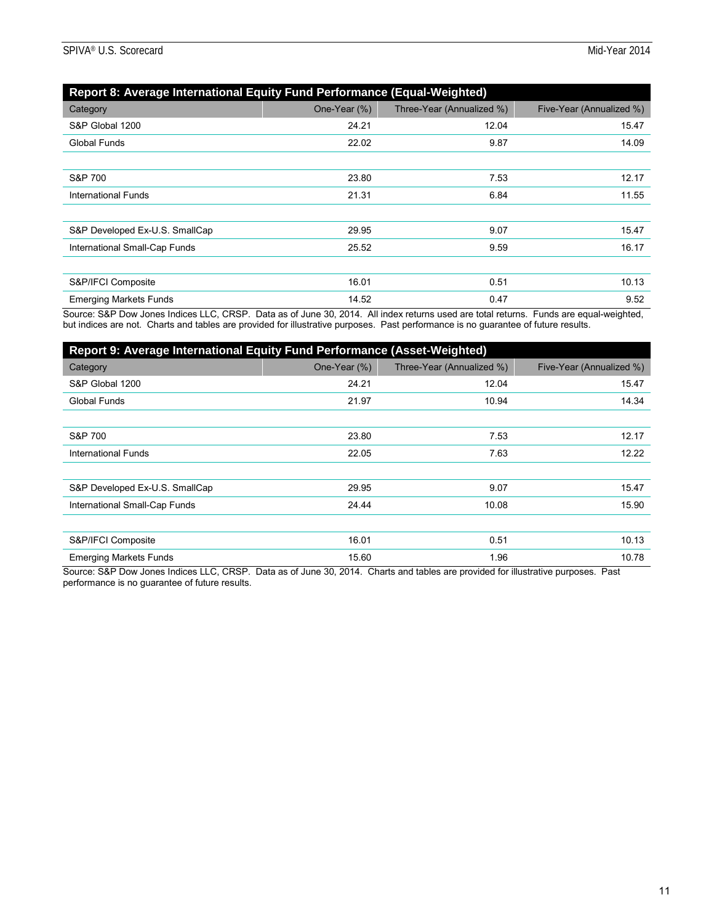| Report 8: Average International Equity Fund Performance (Equal-Weighted) |              |                           |                          |  |  |  |
|--------------------------------------------------------------------------|--------------|---------------------------|--------------------------|--|--|--|
| Category                                                                 | One-Year (%) | Three-Year (Annualized %) | Five-Year (Annualized %) |  |  |  |
| S&P Global 1200                                                          | 24.21        | 12.04                     | 15.47                    |  |  |  |
| Global Funds                                                             | 22.02        | 9.87                      | 14.09                    |  |  |  |
|                                                                          |              |                           |                          |  |  |  |
| S&P 700                                                                  | 23.80        | 7.53                      | 12.17                    |  |  |  |
| <b>International Funds</b>                                               | 21.31        | 6.84                      | 11.55                    |  |  |  |
|                                                                          |              |                           |                          |  |  |  |
| S&P Developed Ex-U.S. SmallCap                                           | 29.95        | 9.07                      | 15.47                    |  |  |  |
| International Small-Cap Funds                                            | 25.52        | 9.59                      | 16.17                    |  |  |  |
|                                                                          |              |                           |                          |  |  |  |
| S&P/IFCI Composite                                                       | 16.01        | 0.51                      | 10.13                    |  |  |  |
| <b>Emerging Markets Funds</b>                                            | 14.52        | 0.47                      | 9.52                     |  |  |  |

Source: S&P Dow Jones Indices LLC, CRSP. Data as of June 30, 2014. All index returns used are total returns. Funds are equal-weighted, but indices are not. Charts and tables are provided for illustrative purposes. Past performance is no guarantee of future results.

| Report 9: Average International Equity Fund Performance (Asset-Weighted) |              |                           |                          |
|--------------------------------------------------------------------------|--------------|---------------------------|--------------------------|
| Category                                                                 | One-Year (%) | Three-Year (Annualized %) | Five-Year (Annualized %) |
| S&P Global 1200                                                          | 24.21        | 12.04                     | 15.47                    |
| <b>Global Funds</b>                                                      | 21.97        | 10.94                     | 14.34                    |
|                                                                          |              |                           |                          |
| S&P 700                                                                  | 23.80        | 7.53                      | 12.17                    |
| International Funds                                                      | 22.05        | 7.63                      | 12.22                    |
|                                                                          |              |                           |                          |
| S&P Developed Ex-U.S. SmallCap                                           | 29.95        | 9.07                      | 15.47                    |
| International Small-Cap Funds                                            | 24.44        | 10.08                     | 15.90                    |
|                                                                          |              |                           |                          |
| S&P/IFCI Composite                                                       | 16.01        | 0.51                      | 10.13                    |
| <b>Emerging Markets Funds</b>                                            | 15.60        | 1.96                      | 10.78                    |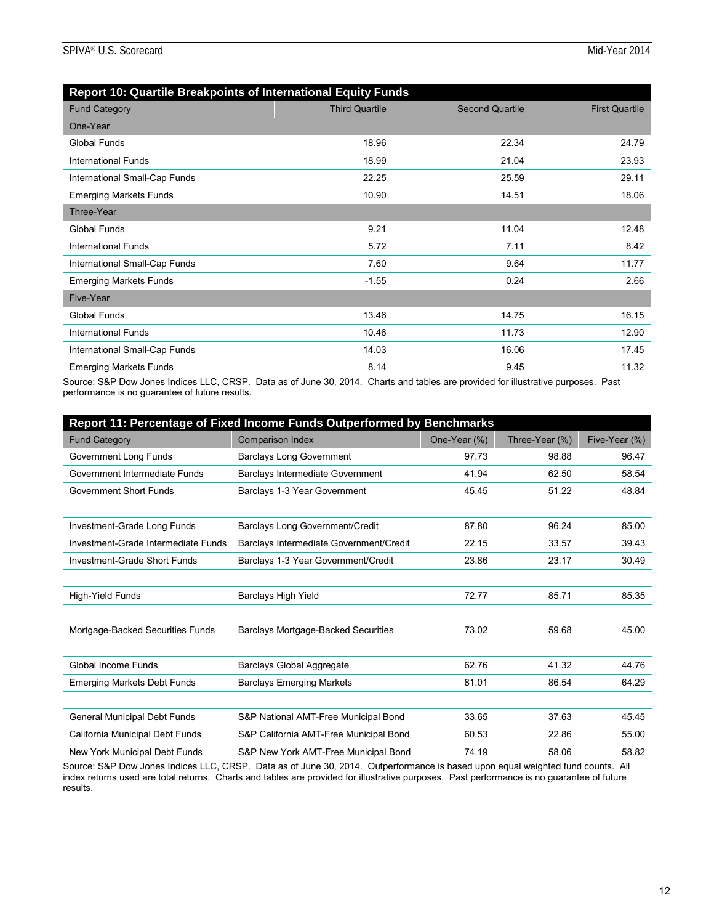| Report 10: Quartile Breakpoints of International Equity Funds |                       |                        |                        |
|---------------------------------------------------------------|-----------------------|------------------------|------------------------|
| <b>Fund Category</b>                                          | <b>Third Quartile</b> | <b>Second Quartile</b> | <b>First Quartile</b>  |
| One-Year                                                      |                       |                        |                        |
| Global Funds                                                  | 18.96                 | 22.34                  | 24.79                  |
| <b>International Funds</b>                                    | 18.99                 | 21.04                  | 23.93                  |
| International Small-Cap Funds                                 | 22.25                 | 25.59                  | 29.11                  |
| <b>Emerging Markets Funds</b>                                 | 10.90                 | 14.51                  | 18.06                  |
| Three-Year                                                    |                       |                        |                        |
| <b>Global Funds</b>                                           | 9.21                  | 11.04                  | 12.48                  |
| <b>International Funds</b>                                    | 5.72                  | 7.11                   | 8.42                   |
| International Small-Cap Funds                                 | 7.60                  | 9.64                   | 11.77                  |
| <b>Emerging Markets Funds</b>                                 | $-1.55$               | 0.24                   | 2.66                   |
| Five-Year                                                     |                       |                        |                        |
| Global Funds                                                  | 13.46                 | 14.75                  | 16.15                  |
| International Funds                                           | 10.46                 | 11.73                  | 12.90                  |
| International Small-Cap Funds                                 | 14.03                 | 16.06                  | 17.45                  |
| <b>Emerging Markets Funds</b>                                 | 8.14                  | 9.45<br>.              | 11.32<br>$\sim$ $\sim$ |

Source: S&P Dow Jones Indices LLC, CRSP. Data as of June 30, 2014. Charts and tables are provided for illustrative purposes. Past performance is no guarantee of future results.

| <b>Report 11: Percentage of Fixed Income Funds Outperformed by Benchmarks</b>                                                                 |                                            |              |                |               |
|-----------------------------------------------------------------------------------------------------------------------------------------------|--------------------------------------------|--------------|----------------|---------------|
| <b>Fund Category</b>                                                                                                                          | <b>Comparison Index</b>                    | One-Year (%) | Three-Year (%) | Five-Year (%) |
| Government Long Funds                                                                                                                         | <b>Barclays Long Government</b>            | 97.73        | 98.88          | 96.47         |
| Government Intermediate Funds                                                                                                                 | <b>Barclays Intermediate Government</b>    | 41.94        | 62.50          | 58.54         |
| <b>Government Short Funds</b>                                                                                                                 | Barclays 1-3 Year Government               | 45.45        | 51.22          | 48.84         |
|                                                                                                                                               |                                            |              |                |               |
| Investment-Grade Long Funds                                                                                                                   | Barclays Long Government/Credit            | 87.80        | 96.24          | 85.00         |
| Investment-Grade Intermediate Funds                                                                                                           | Barclays Intermediate Government/Credit    | 22.15        | 33.57          | 39.43         |
| Investment-Grade Short Funds                                                                                                                  | Barclays 1-3 Year Government/Credit        | 23.86        | 23.17          | 30.49         |
|                                                                                                                                               |                                            |              |                |               |
| High-Yield Funds                                                                                                                              | <b>Barclays High Yield</b>                 | 72.77        | 85.71          | 85.35         |
|                                                                                                                                               |                                            |              |                |               |
| Mortgage-Backed Securities Funds                                                                                                              | <b>Barclays Mortgage-Backed Securities</b> | 73.02        | 59.68          | 45.00         |
|                                                                                                                                               |                                            |              |                |               |
| Global Income Funds                                                                                                                           | <b>Barclays Global Aggregate</b>           | 62.76        | 41.32          | 44.76         |
| <b>Emerging Markets Debt Funds</b>                                                                                                            | <b>Barclays Emerging Markets</b>           | 81.01        | 86.54          | 64.29         |
|                                                                                                                                               |                                            |              |                |               |
| <b>General Municipal Debt Funds</b>                                                                                                           | S&P National AMT-Free Municipal Bond       | 33.65        | 37.63          | 45.45         |
| California Municipal Debt Funds                                                                                                               | S&P California AMT-Free Municipal Bond     | 60.53        | 22.86          | 55.00         |
| New York Municipal Debt Funds                                                                                                                 | S&P New York AMT-Free Municipal Bond       | 74.19        | 58.06          | 58.82         |
| Course: COD Dow Janse Indiase LLC, CDCD, Data se of June 20, 2014. Outparformance is boood upon equal woighted fund equate<br>$\mathbf{A}$ II |                                            |              |                |               |

Source: S&P Dow Jones Indices LLC, CRSP. Data as of June 30, 2014. Outperformance is based upon equal weighted fund counts. All index returns used are total returns. Charts and tables are provided for illustrative purposes. Past performance is no guarantee of future results.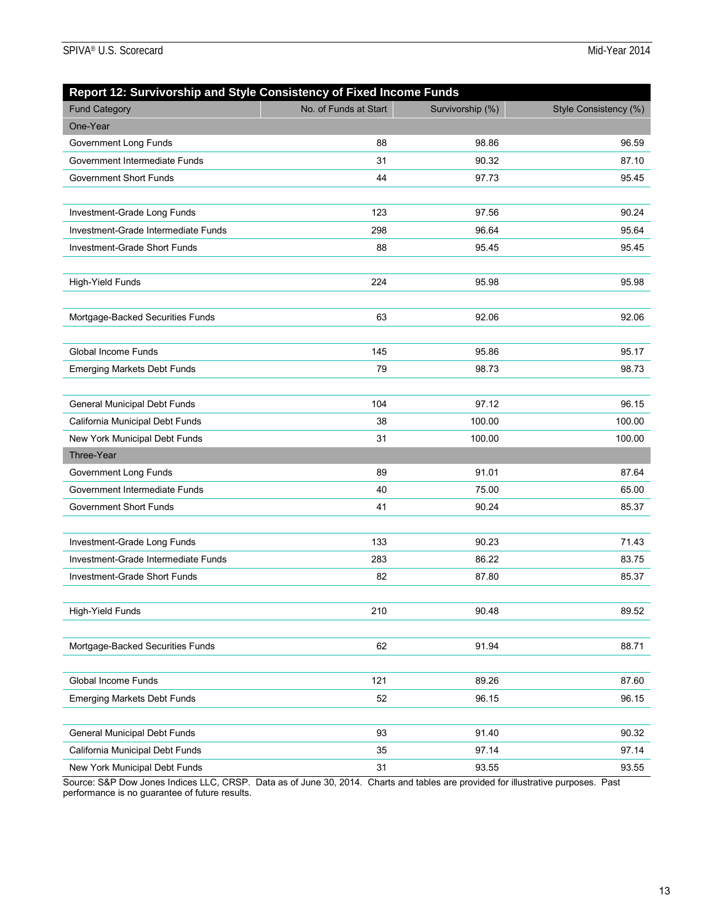| Report 12: Survivorship and Style Consistency of Fixed Income Funds |                       |                  |                       |
|---------------------------------------------------------------------|-----------------------|------------------|-----------------------|
| <b>Fund Category</b>                                                | No. of Funds at Start | Survivorship (%) | Style Consistency (%) |
| One-Year                                                            |                       |                  |                       |
| Government Long Funds                                               | 88                    | 98.86            | 96.59                 |
| Government Intermediate Funds                                       | 31                    | 90.32            | 87.10                 |
| <b>Government Short Funds</b>                                       | 44                    | 97.73            | 95.45                 |
|                                                                     |                       |                  |                       |
| Investment-Grade Long Funds                                         | 123                   | 97.56            | 90.24                 |
| Investment-Grade Intermediate Funds                                 | 298                   | 96.64            | 95.64                 |
| Investment-Grade Short Funds                                        | 88                    | 95.45            | 95.45                 |
|                                                                     |                       |                  |                       |
| High-Yield Funds                                                    | 224                   | 95.98            | 95.98                 |
|                                                                     |                       |                  |                       |
| Mortgage-Backed Securities Funds                                    | 63                    | 92.06            | 92.06                 |
|                                                                     |                       |                  |                       |
| Global Income Funds                                                 | 145                   | 95.86            | 95.17                 |
| <b>Emerging Markets Debt Funds</b>                                  | 79                    | 98.73            | 98.73                 |
|                                                                     |                       |                  |                       |
| General Municipal Debt Funds                                        | 104                   | 97.12            | 96.15                 |
| California Municipal Debt Funds                                     | 38                    | 100.00           | 100.00                |
| New York Municipal Debt Funds                                       | 31                    | 100.00           | 100.00                |
| Three-Year                                                          |                       |                  |                       |
| Government Long Funds                                               | 89                    | 91.01            | 87.64                 |
| Government Intermediate Funds                                       | 40                    | 75.00            | 65.00                 |
| <b>Government Short Funds</b>                                       | 41                    | 90.24            | 85.37                 |
|                                                                     |                       |                  |                       |
| Investment-Grade Long Funds                                         | 133                   | 90.23            | 71.43                 |
| Investment-Grade Intermediate Funds                                 | 283                   | 86.22            | 83.75                 |
| Investment-Grade Short Funds                                        | 82                    | 87.80            | 85.37                 |
|                                                                     |                       |                  |                       |
| High-Yield Funds                                                    | 210                   | 90.48            | 89.52                 |
|                                                                     |                       |                  |                       |
| Mortgage-Backed Securities Funds                                    | 62                    | 91.94            | 88.71                 |
|                                                                     |                       |                  |                       |
| Global Income Funds                                                 | 121                   | 89.26            | 87.60                 |
| <b>Emerging Markets Debt Funds</b>                                  | 52                    | 96.15            | 96.15                 |
|                                                                     |                       |                  |                       |
| General Municipal Debt Funds                                        | 93                    | 91.40            | 90.32                 |
| California Municipal Debt Funds                                     | 35                    | 97.14            | 97.14                 |
| New York Municipal Debt Funds                                       | 31                    | 93.55            | 93.55                 |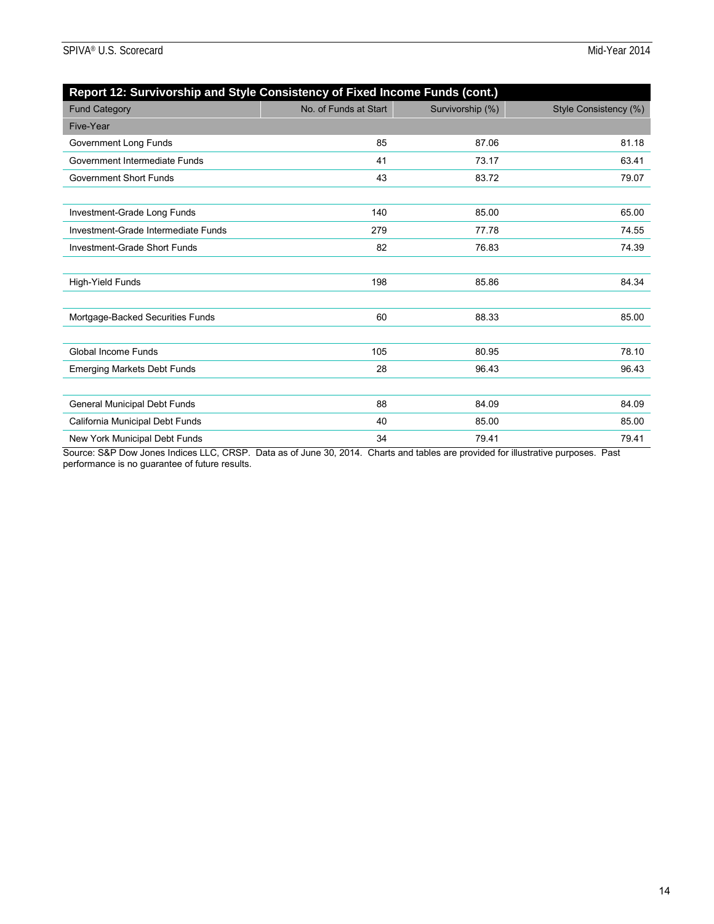| Report 12: Survivorship and Style Consistency of Fixed Income Funds (cont.) |                       |                  |                       |
|-----------------------------------------------------------------------------|-----------------------|------------------|-----------------------|
| <b>Fund Category</b>                                                        | No. of Funds at Start | Survivorship (%) | Style Consistency (%) |
| Five-Year                                                                   |                       |                  |                       |
| Government Long Funds                                                       | 85                    | 87.06            | 81.18                 |
| Government Intermediate Funds                                               | 41                    | 73.17            | 63.41                 |
| <b>Government Short Funds</b>                                               | 43                    | 83.72            | 79.07                 |
|                                                                             |                       |                  |                       |
| Investment-Grade Long Funds                                                 | 140                   | 85.00            | 65.00                 |
| Investment-Grade Intermediate Funds                                         | 279                   | 77.78            | 74.55                 |
| Investment-Grade Short Funds                                                | 82                    | 76.83            | 74.39                 |
|                                                                             |                       |                  |                       |
| High-Yield Funds                                                            | 198                   | 85.86            | 84.34                 |
|                                                                             |                       |                  |                       |
| Mortgage-Backed Securities Funds                                            | 60                    | 88.33            | 85.00                 |
|                                                                             |                       |                  |                       |
| <b>Global Income Funds</b>                                                  | 105                   | 80.95            | 78.10                 |
| <b>Emerging Markets Debt Funds</b>                                          | 28                    | 96.43            | 96.43                 |
|                                                                             |                       |                  |                       |
| <b>General Municipal Debt Funds</b>                                         | 88                    | 84.09            | 84.09                 |
| California Municipal Debt Funds                                             | 40                    | 85.00            | 85.00                 |
| New York Municipal Debt Funds                                               | 34                    | 79.41            | 79.41                 |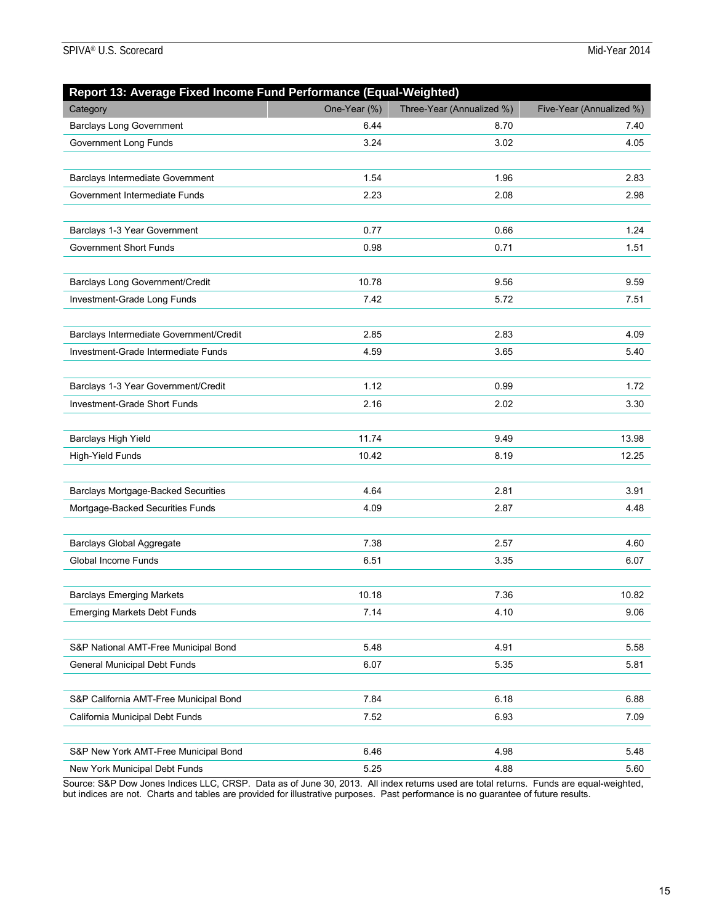| Report 13: Average Fixed Income Fund Performance (Equal-Weighted) |              |                           |                          |
|-------------------------------------------------------------------|--------------|---------------------------|--------------------------|
| Category                                                          | One-Year (%) | Three-Year (Annualized %) | Five-Year (Annualized %) |
| <b>Barclays Long Government</b>                                   | 6.44         | 8.70                      | 7.40                     |
| Government Long Funds                                             | 3.24         | 3.02                      | 4.05                     |
| Barclays Intermediate Government                                  | 1.54         | 1.96                      | 2.83                     |
| Government Intermediate Funds                                     | 2.23         | 2.08                      | 2.98                     |
| Barclays 1-3 Year Government                                      | 0.77         | 0.66                      | 1.24                     |
| <b>Government Short Funds</b>                                     | 0.98         | 0.71                      | 1.51                     |
| Barclays Long Government/Credit                                   | 10.78        | 9.56                      | 9.59                     |
| Investment-Grade Long Funds                                       | 7.42         | 5.72                      | 7.51                     |
| Barclays Intermediate Government/Credit                           | 2.85         | 2.83                      | 4.09                     |
| Investment-Grade Intermediate Funds                               | 4.59         | 3.65                      | 5.40                     |
| Barclays 1-3 Year Government/Credit                               | 1.12         | 0.99                      | 1.72                     |
| <b>Investment-Grade Short Funds</b>                               | 2.16         | 2.02                      | 3.30                     |
| Barclays High Yield                                               | 11.74        | 9.49                      | 13.98                    |
| <b>High-Yield Funds</b>                                           | 10.42        | 8.19                      | 12.25                    |
| <b>Barclays Mortgage-Backed Securities</b>                        | 4.64         | 2.81                      | 3.91                     |
| Mortgage-Backed Securities Funds                                  | 4.09         | 2.87                      | 4.48                     |
| <b>Barclays Global Aggregate</b>                                  | 7.38         | 2.57                      | 4.60                     |
| Global Income Funds                                               | 6.51         | 3.35                      | 6.07                     |
| <b>Barclays Emerging Markets</b>                                  | 10.18        | 7.36                      | 10.82                    |
| <b>Emerging Markets Debt Funds</b>                                | 7.14         | 4.10                      | 9.06                     |
| S&P National AMT-Free Municipal Bond                              | 5.48         | 4.91                      | 5.58                     |
| <b>General Municipal Debt Funds</b>                               | 6.07         | 5.35                      | 5.81                     |
| S&P California AMT-Free Municipal Bond                            | 7.84         | 6.18                      | 6.88                     |
| California Municipal Debt Funds                                   | 7.52         | 6.93                      | 7.09                     |
| S&P New York AMT-Free Municipal Bond                              | 6.46         | 4.98                      | 5.48                     |
| New York Municipal Debt Funds                                     | 5.25         | 4.88                      | 5.60                     |

Source: S&P Dow Jones Indices LLC, CRSP. Data as of June 30, 2013. All index returns used are total returns. Funds are equal-weighted, but indices are not. Charts and tables are provided for illustrative purposes. Past performance is no guarantee of future results.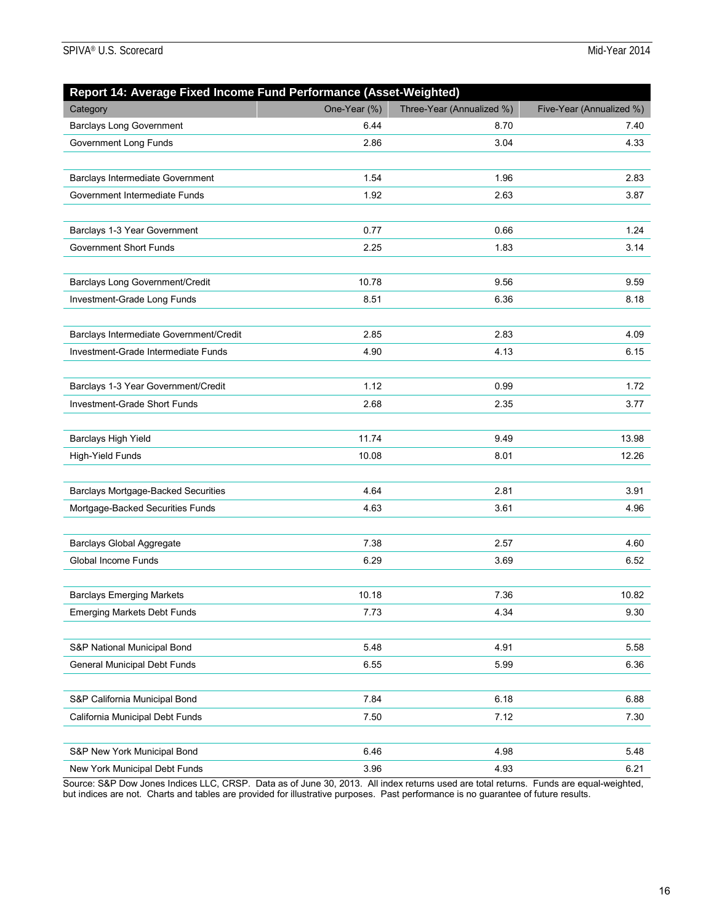| Report 14: Average Fixed Income Fund Performance (Asset-Weighted) |              |                           |                          |
|-------------------------------------------------------------------|--------------|---------------------------|--------------------------|
| Category                                                          | One-Year (%) | Three-Year (Annualized %) | Five-Year (Annualized %) |
| <b>Barclays Long Government</b>                                   | 6.44         | 8.70                      | 7.40                     |
| Government Long Funds                                             | 2.86         | 3.04                      | 4.33                     |
|                                                                   | 1.54         | 1.96                      | 2.83                     |
| Barclays Intermediate Government                                  | 1.92         | 2.63                      |                          |
| Government Intermediate Funds                                     |              |                           | 3.87                     |
| Barclays 1-3 Year Government                                      | 0.77         | 0.66                      | 1.24                     |
| Government Short Funds                                            | 2.25         | 1.83                      | 3.14                     |
|                                                                   |              |                           |                          |
| Barclays Long Government/Credit                                   | 10.78        | 9.56                      | 9.59                     |
| Investment-Grade Long Funds                                       | 8.51         | 6.36                      | 8.18                     |
| Barclays Intermediate Government/Credit                           | 2.85         | 2.83                      | 4.09                     |
| Investment-Grade Intermediate Funds                               | 4.90         | 4.13                      | 6.15                     |
|                                                                   |              |                           |                          |
| Barclays 1-3 Year Government/Credit                               | 1.12         | 0.99                      | 1.72                     |
| Investment-Grade Short Funds                                      | 2.68         | 2.35                      | 3.77                     |
| Barclays High Yield                                               | 11.74        | 9.49                      | 13.98                    |
| <b>High-Yield Funds</b>                                           | 10.08        | 8.01                      | 12.26                    |
|                                                                   |              |                           |                          |
| <b>Barclays Mortgage-Backed Securities</b>                        | 4.64         | 2.81                      | 3.91                     |
| Mortgage-Backed Securities Funds                                  | 4.63         | 3.61                      | 4.96                     |
| <b>Barclays Global Aggregate</b>                                  | 7.38         | 2.57                      | 4.60                     |
| Global Income Funds                                               | 6.29         | 3.69                      | 6.52                     |
|                                                                   |              |                           |                          |
| <b>Barclays Emerging Markets</b>                                  | 10.18        | 7.36                      | 10.82                    |
| <b>Emerging Markets Debt Funds</b>                                | 7.73         | 4.34                      | 9.30                     |
| S&P National Municipal Bond                                       | 5.48         | 4.91                      | 5.58                     |
| <b>General Municipal Debt Funds</b>                               | 6.55         | 5.99                      | 6.36                     |
|                                                                   |              |                           |                          |
| S&P California Municipal Bond                                     | 7.84         | 6.18                      | 6.88                     |
| California Municipal Debt Funds                                   | 7.50         | 7.12                      | 7.30                     |
| S&P New York Municipal Bond                                       | 6.46         | 4.98                      | 5.48                     |
| New York Municipal Debt Funds                                     | 3.96         | 4.93                      | 6.21                     |

Source: S&P Dow Jones Indices LLC, CRSP. Data as of June 30, 2013. All index returns used are total returns. Funds are equal-weighted, but indices are not. Charts and tables are provided for illustrative purposes. Past performance is no guarantee of future results.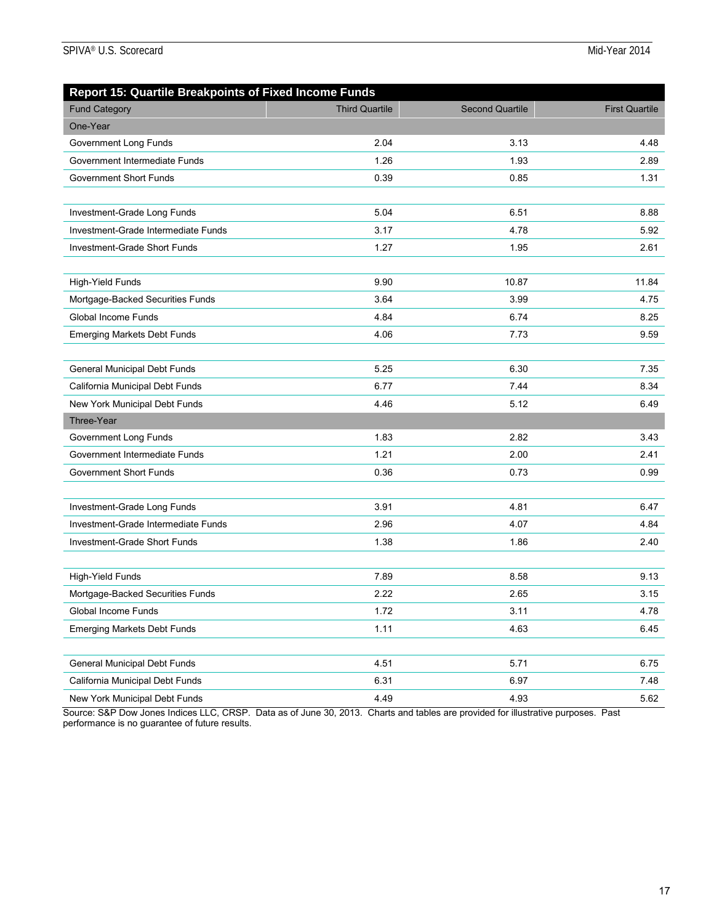| <b>Report 15: Quartile Breakpoints of Fixed Income Funds</b> |                       |                        |                       |
|--------------------------------------------------------------|-----------------------|------------------------|-----------------------|
| <b>Fund Category</b>                                         | <b>Third Quartile</b> | <b>Second Quartile</b> | <b>First Quartile</b> |
| One-Year                                                     |                       |                        |                       |
| Government Long Funds                                        | 2.04                  | 3.13                   | 4.48                  |
| Government Intermediate Funds                                | 1.26                  | 1.93                   | 2.89                  |
| <b>Government Short Funds</b>                                | 0.39                  | 0.85                   | 1.31                  |
|                                                              |                       |                        |                       |
| Investment-Grade Long Funds                                  | 5.04                  | 6.51                   | 8.88                  |
| Investment-Grade Intermediate Funds                          | 3.17                  | 4.78                   | 5.92                  |
| Investment-Grade Short Funds                                 | 1.27                  | 1.95                   | 2.61                  |
|                                                              |                       |                        |                       |
| High-Yield Funds                                             | 9.90                  | 10.87                  | 11.84                 |
| Mortgage-Backed Securities Funds                             | 3.64                  | 3.99                   | 4.75                  |
| Global Income Funds                                          | 4.84                  | 6.74                   | 8.25                  |
| <b>Emerging Markets Debt Funds</b>                           | 4.06                  | 7.73                   | 9.59                  |
|                                                              |                       |                        |                       |
| General Municipal Debt Funds                                 | 5.25                  | 6.30                   | 7.35                  |
| California Municipal Debt Funds                              | 6.77                  | 7.44                   | 8.34                  |
| New York Municipal Debt Funds                                | 4.46                  | 5.12                   | 6.49                  |
| Three-Year                                                   |                       |                        |                       |
| Government Long Funds                                        | 1.83                  | 2.82                   | 3.43                  |
| Government Intermediate Funds                                | 1.21                  | 2.00                   | 2.41                  |
| <b>Government Short Funds</b>                                | 0.36                  | 0.73                   | 0.99                  |
|                                                              |                       |                        |                       |
| Investment-Grade Long Funds                                  | 3.91                  | 4.81                   | 6.47                  |
| Investment-Grade Intermediate Funds                          | 2.96                  | 4.07                   | 4.84                  |
| Investment-Grade Short Funds                                 | 1.38                  | 1.86                   | 2.40                  |
|                                                              |                       |                        |                       |
| High-Yield Funds                                             | 7.89                  | 8.58                   | 9.13                  |
| Mortgage-Backed Securities Funds                             | 2.22                  | 2.65                   | 3.15                  |
| Global Income Funds                                          | 1.72                  | 3.11                   | 4.78                  |
| <b>Emerging Markets Debt Funds</b>                           | 1.11                  | 4.63                   | 6.45                  |
|                                                              |                       |                        |                       |
| General Municipal Debt Funds                                 | 4.51                  | 5.71                   | 6.75                  |
| California Municipal Debt Funds                              | 6.31                  | 6.97                   | 7.48                  |
| New York Municipal Debt Funds                                | 4.49                  | 4.93                   | 5.62                  |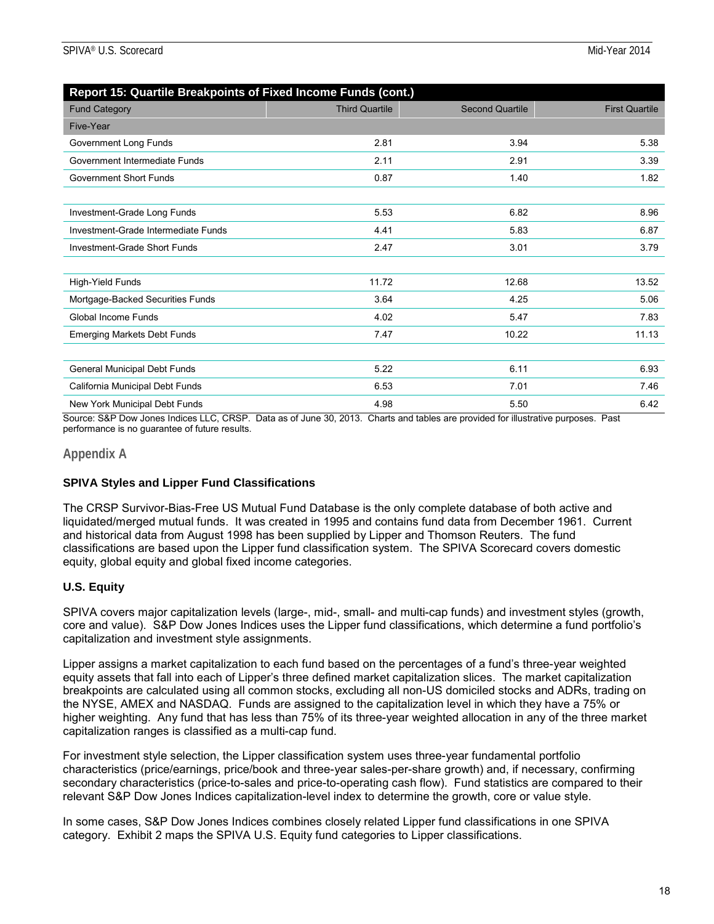| Report 15: Quartile Breakpoints of Fixed Income Funds (cont.) |                       |                        |                       |
|---------------------------------------------------------------|-----------------------|------------------------|-----------------------|
| <b>Fund Category</b>                                          | <b>Third Quartile</b> | <b>Second Quartile</b> | <b>First Quartile</b> |
| Five-Year                                                     |                       |                        |                       |
| Government Long Funds                                         | 2.81                  | 3.94                   | 5.38                  |
| Government Intermediate Funds                                 | 2.11                  | 2.91                   | 3.39                  |
| <b>Government Short Funds</b>                                 | 0.87                  | 1.40                   | 1.82                  |
|                                                               |                       |                        |                       |
| Investment-Grade Long Funds                                   | 5.53                  | 6.82                   | 8.96                  |
| Investment-Grade Intermediate Funds                           | 4.41                  | 5.83                   | 6.87                  |
| Investment-Grade Short Funds                                  | 2.47                  | 3.01                   | 3.79                  |
|                                                               |                       |                        |                       |
| High-Yield Funds                                              | 11.72                 | 12.68                  | 13.52                 |
| Mortgage-Backed Securities Funds                              | 3.64                  | 4.25                   | 5.06                  |
| Global Income Funds                                           | 4.02                  | 5.47                   | 7.83                  |
| <b>Emerging Markets Debt Funds</b>                            | 7.47                  | 10.22                  | 11.13                 |
|                                                               |                       |                        |                       |
| General Municipal Debt Funds                                  | 5.22                  | 6.11                   | 6.93                  |
| California Municipal Debt Funds                               | 6.53                  | 7.01                   | 7.46                  |
| New York Municipal Debt Funds                                 | 4.98                  | 5.50                   | 6.42                  |

Source: S&P Dow Jones Indices LLC, CRSP. Data as of June 30, 2013. Charts and tables are provided for illustrative purposes. Past performance is no guarantee of future results.

#### **Appendix A**

#### **SPIVA Styles and Lipper Fund Classifications**

The CRSP Survivor-Bias-Free US Mutual Fund Database is the only complete database of both active and liquidated/merged mutual funds. It was created in 1995 and contains fund data from December 1961. Current and historical data from August 1998 has been supplied by Lipper and Thomson Reuters. The fund classifications are based upon the Lipper fund classification system. The SPIVA Scorecard covers domestic equity, global equity and global fixed income categories.

### **U.S. Equity**

SPIVA covers major capitalization levels (large-, mid-, small- and multi-cap funds) and investment styles (growth, core and value). S&P Dow Jones Indices uses the Lipper fund classifications, which determine a fund portfolio's capitalization and investment style assignments.

Lipper assigns a market capitalization to each fund based on the percentages of a fund's three-year weighted equity assets that fall into each of Lipper's three defined market capitalization slices. The market capitalization breakpoints are calculated using all common stocks, excluding all non-US domiciled stocks and ADRs, trading on the NYSE, AMEX and NASDAQ. Funds are assigned to the capitalization level in which they have a 75% or higher weighting. Any fund that has less than 75% of its three-year weighted allocation in any of the three market capitalization ranges is classified as a multi-cap fund.

For investment style selection, the Lipper classification system uses three-year fundamental portfolio characteristics (price/earnings, price/book and three-year sales-per-share growth) and, if necessary, confirming secondary characteristics (price-to-sales and price-to-operating cash flow). Fund statistics are compared to their relevant S&P Dow Jones Indices capitalization-level index to determine the growth, core or value style.

In some cases, S&P Dow Jones Indices combines closely related Lipper fund classifications in one SPIVA category. Exhibit 2 maps the SPIVA U.S. Equity fund categories to Lipper classifications.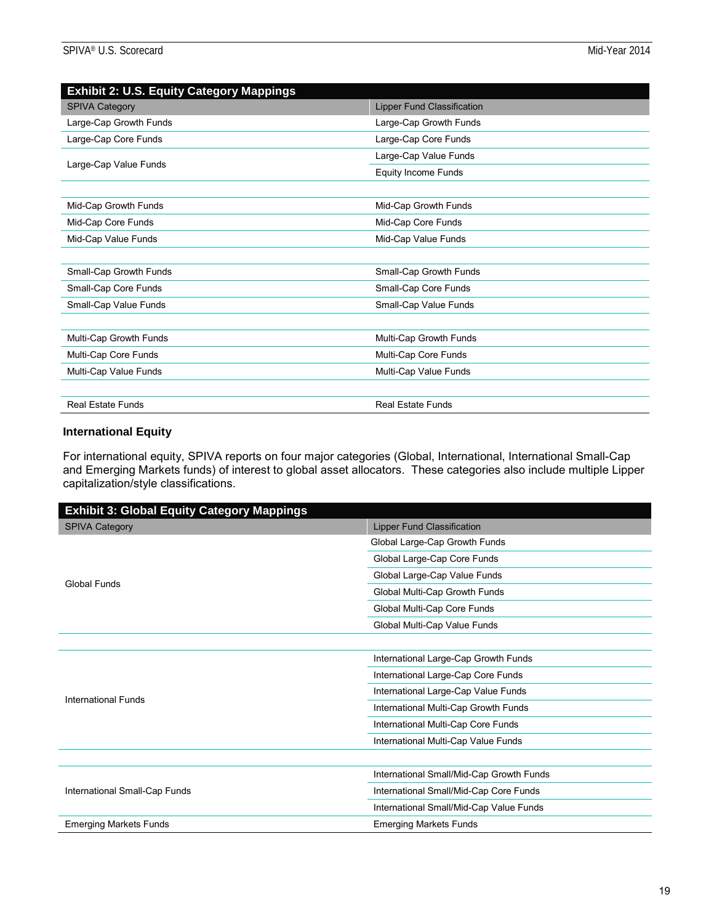| <b>Exhibit 2: U.S. Equity Category Mappings</b> |                                   |
|-------------------------------------------------|-----------------------------------|
| <b>SPIVA Category</b>                           | <b>Lipper Fund Classification</b> |
| Large-Cap Growth Funds                          | Large-Cap Growth Funds            |
| Large-Cap Core Funds                            | Large-Cap Core Funds              |
| Large-Cap Value Funds                           | Large-Cap Value Funds             |
|                                                 | <b>Equity Income Funds</b>        |
|                                                 |                                   |
| Mid-Cap Growth Funds                            | Mid-Cap Growth Funds              |
| Mid-Cap Core Funds                              | Mid-Cap Core Funds                |
| Mid-Cap Value Funds                             | Mid-Cap Value Funds               |
|                                                 |                                   |
| Small-Cap Growth Funds                          | Small-Cap Growth Funds            |
| Small-Cap Core Funds                            | Small-Cap Core Funds              |
| Small-Cap Value Funds                           | Small-Cap Value Funds             |
|                                                 |                                   |
| Multi-Cap Growth Funds                          | Multi-Cap Growth Funds            |
| Multi-Cap Core Funds                            | Multi-Cap Core Funds              |
| Multi-Cap Value Funds                           | Multi-Cap Value Funds             |
|                                                 |                                   |
| <b>Real Estate Funds</b>                        | <b>Real Estate Funds</b>          |

#### **International Equity**

For international equity, SPIVA reports on four major categories (Global, International, International Small-Cap and Emerging Markets funds) of interest to global asset allocators. These categories also include multiple Lipper capitalization/style classifications.

| <b>Exhibit 3: Global Equity Category Mappings</b> |                                          |
|---------------------------------------------------|------------------------------------------|
| <b>SPIVA Category</b>                             | Lipper Fund Classification               |
|                                                   | Global Large-Cap Growth Funds            |
|                                                   | Global Large-Cap Core Funds              |
| Global Funds                                      | Global Large-Cap Value Funds             |
|                                                   | Global Multi-Cap Growth Funds            |
|                                                   | Global Multi-Cap Core Funds              |
|                                                   | Global Multi-Cap Value Funds             |
|                                                   |                                          |
|                                                   | International Large-Cap Growth Funds     |
|                                                   | International Large-Cap Core Funds       |
| <b>International Funds</b>                        | International Large-Cap Value Funds      |
|                                                   | International Multi-Cap Growth Funds     |
|                                                   | International Multi-Cap Core Funds       |
|                                                   | International Multi-Cap Value Funds      |
|                                                   |                                          |
|                                                   | International Small/Mid-Cap Growth Funds |
| International Small-Cap Funds                     | International Small/Mid-Cap Core Funds   |
|                                                   | International Small/Mid-Cap Value Funds  |
| <b>Emerging Markets Funds</b>                     | <b>Emerging Markets Funds</b>            |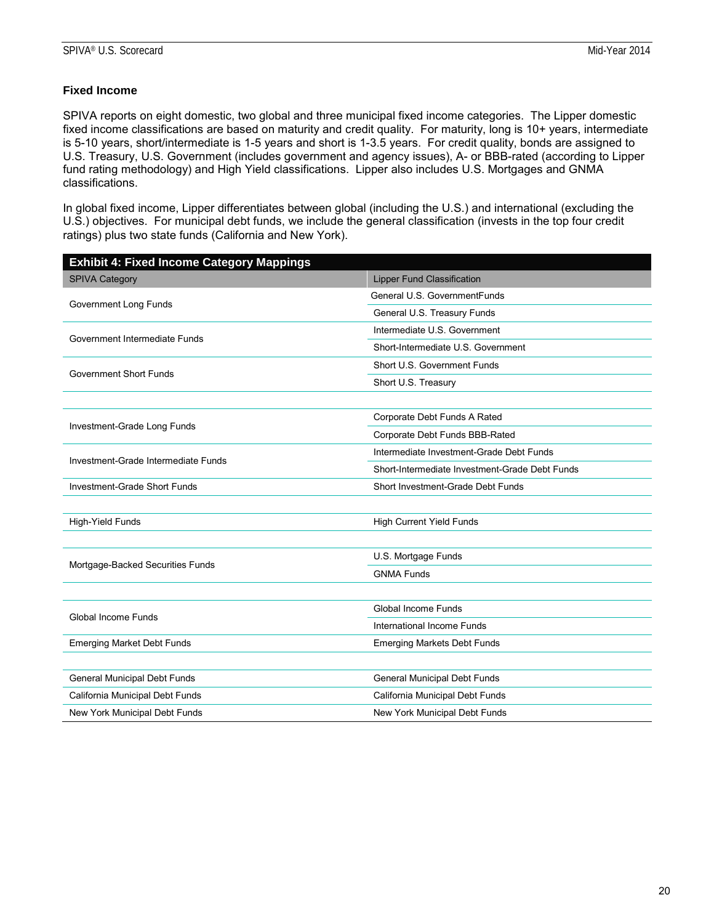#### **Fixed Income**

SPIVA reports on eight domestic, two global and three municipal fixed income categories. The Lipper domestic fixed income classifications are based on maturity and credit quality. For maturity, long is 10+ years, intermediate is 5-10 years, short/intermediate is 1-5 years and short is 1-3.5 years. For credit quality, bonds are assigned to U.S. Treasury, U.S. Government (includes government and agency issues), A- or BBB-rated (according to Lipper fund rating methodology) and High Yield classifications. Lipper also includes U.S. Mortgages and GNMA classifications.

In global fixed income, Lipper differentiates between global (including the U.S.) and international (excluding the U.S.) objectives. For municipal debt funds, we include the general classification (invests in the top four credit ratings) plus two state funds (California and New York).

| <b>Exhibit 4: Fixed Income Category Mappings</b> |                                                |
|--------------------------------------------------|------------------------------------------------|
| <b>SPIVA Category</b>                            | <b>Lipper Fund Classification</b>              |
| Government Long Funds                            | General U.S. GovernmentFunds                   |
|                                                  | General U.S. Treasury Funds                    |
|                                                  | Intermediate U.S. Government                   |
| Government Intermediate Funds                    | Short-Intermediate U.S. Government             |
| <b>Government Short Funds</b>                    | Short U.S. Government Funds                    |
|                                                  | Short U.S. Treasury                            |
|                                                  |                                                |
|                                                  | Corporate Debt Funds A Rated                   |
| Investment-Grade Long Funds                      | Corporate Debt Funds BBB-Rated                 |
| Investment-Grade Intermediate Funds              | Intermediate Investment-Grade Debt Funds       |
|                                                  | Short-Intermediate Investment-Grade Debt Funds |
| Investment-Grade Short Funds                     | Short Investment-Grade Debt Funds              |
|                                                  |                                                |
| High-Yield Funds                                 | <b>High Current Yield Funds</b>                |
|                                                  |                                                |
|                                                  | U.S. Mortgage Funds                            |
| Mortgage-Backed Securities Funds                 | <b>GNMA Funds</b>                              |
|                                                  |                                                |
| Global Income Funds                              | Global Income Funds                            |
|                                                  | International Income Funds                     |
| <b>Emerging Market Debt Funds</b>                | <b>Emerging Markets Debt Funds</b>             |
|                                                  |                                                |
| General Municipal Debt Funds                     | General Municipal Debt Funds                   |
| California Municipal Debt Funds                  | California Municipal Debt Funds                |
| New York Municipal Debt Funds                    | New York Municipal Debt Funds                  |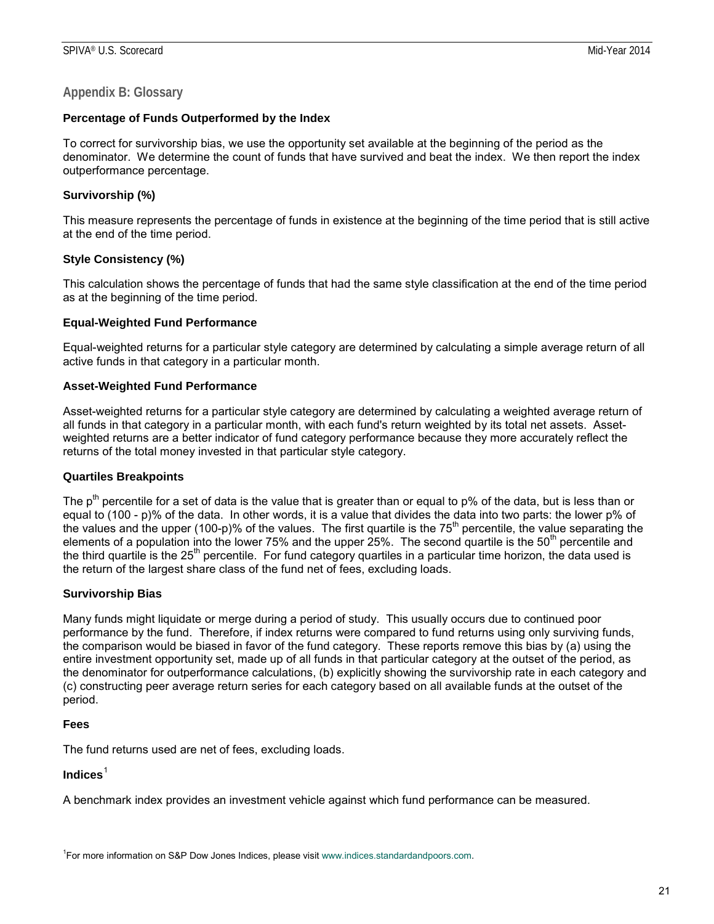#### **Appendix B: Glossary**

#### **Percentage of Funds Outperformed by the Index**

To correct for survivorship bias, we use the opportunity set available at the beginning of the period as the denominator. We determine the count of funds that have survived and beat the index. We then report the index outperformance percentage.

#### **Survivorship (%)**

This measure represents the percentage of funds in existence at the beginning of the time period that is still active at the end of the time period.

#### **Style Consistency (%)**

This calculation shows the percentage of funds that had the same style classification at the end of the time period as at the beginning of the time period.

#### **Equal-Weighted Fund Performance**

Equal-weighted returns for a particular style category are determined by calculating a simple average return of all active funds in that category in a particular month.

#### **Asset-Weighted Fund Performance**

Asset-weighted returns for a particular style category are determined by calculating a weighted average return of all funds in that category in a particular month, with each fund's return weighted by its total net assets. Assetweighted returns are a better indicator of fund category performance because they more accurately reflect the returns of the total money invested in that particular style category.

#### **Quartiles Breakpoints**

The  $p<sup>th</sup>$  percentile for a set of data is the value that is greater than or equal to  $p\%$  of the data, but is less than or equal to (100 - p)% of the data. In other words, it is a value that divides the data into two parts: the lower p% of the values and the upper (100-p)% of the values. The first quartile is the  $75<sup>th</sup>$  percentile, the value separating the elements of a population into the lower 75% and the upper 25%. The second quartile is the 50<sup>th</sup> percentile and the third quartile is the  $25<sup>th</sup>$  percentile. For fund category quartiles in a particular time horizon, the data used is the return of the largest share class of the fund net of fees, excluding loads.

#### **Survivorship Bias**

Many funds might liquidate or merge during a period of study. This usually occurs due to continued poor performance by the fund. Therefore, if index returns were compared to fund returns using only surviving funds, the comparison would be biased in favor of the fund category. These reports remove this bias by (a) using the entire investment opportunity set, made up of all funds in that particular category at the outset of the period, as the denominator for outperformance calculations, (b) explicitly showing the survivorship rate in each category and (c) constructing peer average return series for each category based on all available funds at the outset of the period.

#### **Fees**

The fund returns used are net of fees, excluding loads.

# **Indices**[1](#page-20-0)

A benchmark index provides an investment vehicle against which fund performance can be measured.

<span id="page-20-0"></span><sup>1</sup> For more information on S&P Dow Jones Indices, please visit [www.indices.standardandpoors.com.](http://www.indices.standardandpoors.com/)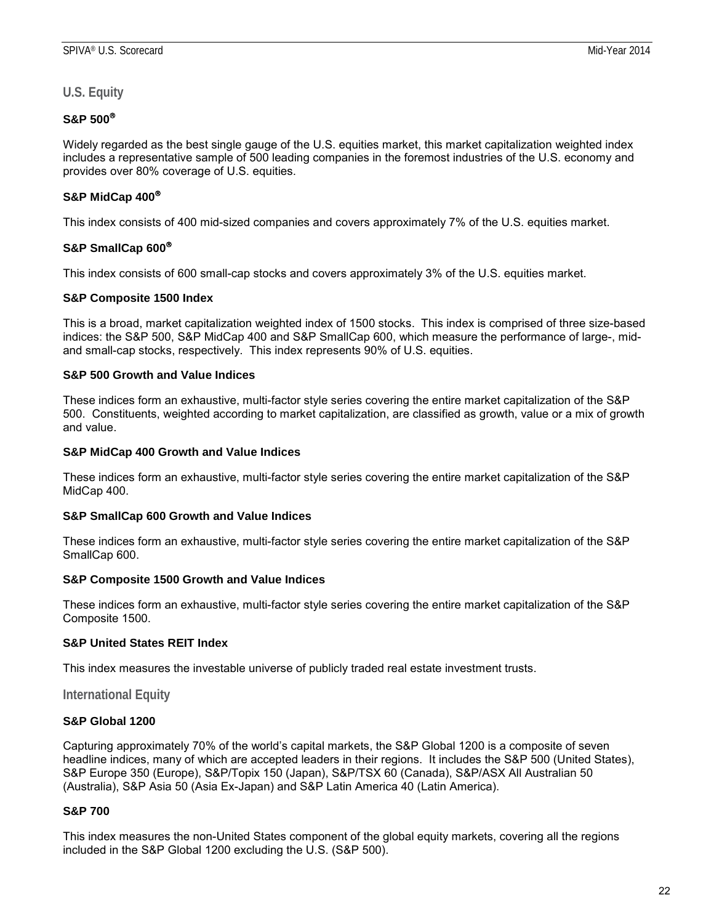**U.S. Equity**

#### **S&P 500**

Widely regarded as the best single gauge of the U.S. equities market, this market capitalization weighted index includes a representative sample of 500 leading companies in the foremost industries of the U.S. economy and provides over 80% coverage of U.S. equities.

#### **S&P MidCap 400**

This index consists of 400 mid-sized companies and covers approximately 7% of the U.S. equities market.

#### **S&P SmallCap 600**

This index consists of 600 small-cap stocks and covers approximately 3% of the U.S. equities market.

#### **S&P Composite 1500 Index**

This is a broad, market capitalization weighted index of 1500 stocks. This index is comprised of three size-based indices: the S&P 500, S&P MidCap 400 and S&P SmallCap 600, which measure the performance of large-, midand small-cap stocks, respectively. This index represents 90% of U.S. equities.

#### **S&P 500 Growth and Value Indices**

These indices form an exhaustive, multi-factor style series covering the entire market capitalization of the S&P 500. Constituents, weighted according to market capitalization, are classified as growth, value or a mix of growth and value.

#### **S&P MidCap 400 Growth and Value Indices**

These indices form an exhaustive, multi-factor style series covering the entire market capitalization of the S&P MidCap 400.

#### **S&P SmallCap 600 Growth and Value Indices**

These indices form an exhaustive, multi-factor style series covering the entire market capitalization of the S&P SmallCap 600.

#### **S&P Composite 1500 Growth and Value Indices**

These indices form an exhaustive, multi-factor style series covering the entire market capitalization of the S&P Composite 1500.

#### **S&P United States REIT Index**

This index measures the investable universe of publicly traded real estate investment trusts.

#### **International Equity**

#### **S&P Global 1200**

Capturing approximately 70% of the world's capital markets, the S&P Global 1200 is a composite of seven headline indices, many of which are accepted leaders in their regions. It includes the S&P 500 (United States), S&P Europe 350 (Europe), S&P/Topix 150 (Japan), S&P/TSX 60 (Canada), S&P/ASX All Australian 50 (Australia), S&P Asia 50 (Asia Ex-Japan) and S&P Latin America 40 (Latin America).

#### **S&P 700**

This index measures the non-United States component of the global equity markets, covering all the regions included in the S&P Global 1200 excluding the U.S. (S&P 500).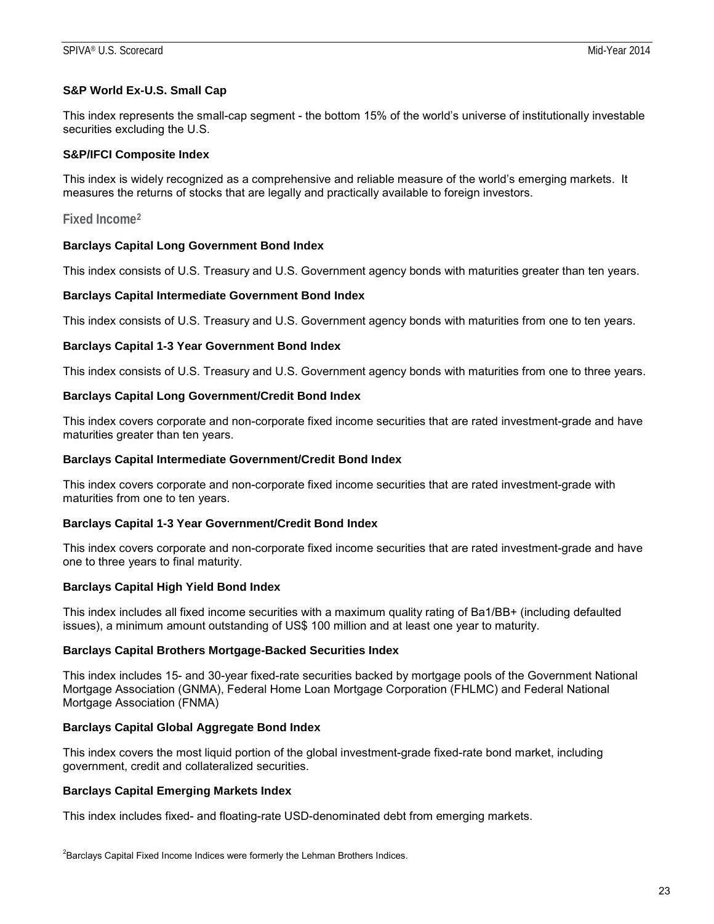#### **S&P World Ex-U.S. Small Cap**

This index represents the small-cap segment - the bottom 15% of the world's universe of institutionally investable securities excluding the U.S.

#### **S&P/IFCI Composite Index**

This index is widely recognized as a comprehensive and reliable measure of the world's emerging markets. It measures the returns of stocks that are legally and practically available to foreign investors.

**Fixed Income[2](#page-22-0)**

#### **Barclays Capital Long Government Bond Index**

This index consists of U.S. Treasury and U.S. Government agency bonds with maturities greater than ten years.

#### **Barclays Capital Intermediate Government Bond Index**

This index consists of U.S. Treasury and U.S. Government agency bonds with maturities from one to ten years.

#### **Barclays Capital 1-3 Year Government Bond Index**

This index consists of U.S. Treasury and U.S. Government agency bonds with maturities from one to three years.

#### **Barclays Capital Long Government/Credit Bond Index**

This index covers corporate and non-corporate fixed income securities that are rated investment-grade and have maturities greater than ten years.

#### **Barclays Capital Intermediate Government/Credit Bond Index**

This index covers corporate and non-corporate fixed income securities that are rated investment-grade with maturities from one to ten years.

#### **Barclays Capital 1-3 Year Government/Credit Bond Index**

This index covers corporate and non-corporate fixed income securities that are rated investment-grade and have one to three years to final maturity.

#### **Barclays Capital High Yield Bond Index**

This index includes all fixed income securities with a maximum quality rating of Ba1/BB+ (including defaulted issues), a minimum amount outstanding of US\$ 100 million and at least one year to maturity.

#### **Barclays Capital Brothers Mortgage-Backed Securities Index**

This index includes 15- and 30-year fixed-rate securities backed by mortgage pools of the Government National Mortgage Association (GNMA), Federal Home Loan Mortgage Corporation (FHLMC) and Federal National Mortgage Association (FNMA)

#### **Barclays Capital Global Aggregate Bond Index**

This index covers the most liquid portion of the global investment-grade fixed-rate bond market, including government, credit and collateralized securities.

#### **Barclays Capital Emerging Markets Index**

This index includes fixed- and floating-rate USD-denominated debt from emerging markets.

<span id="page-22-0"></span> ${}^{2}$ Barclays Capital Fixed Income Indices were formerly the Lehman Brothers Indices.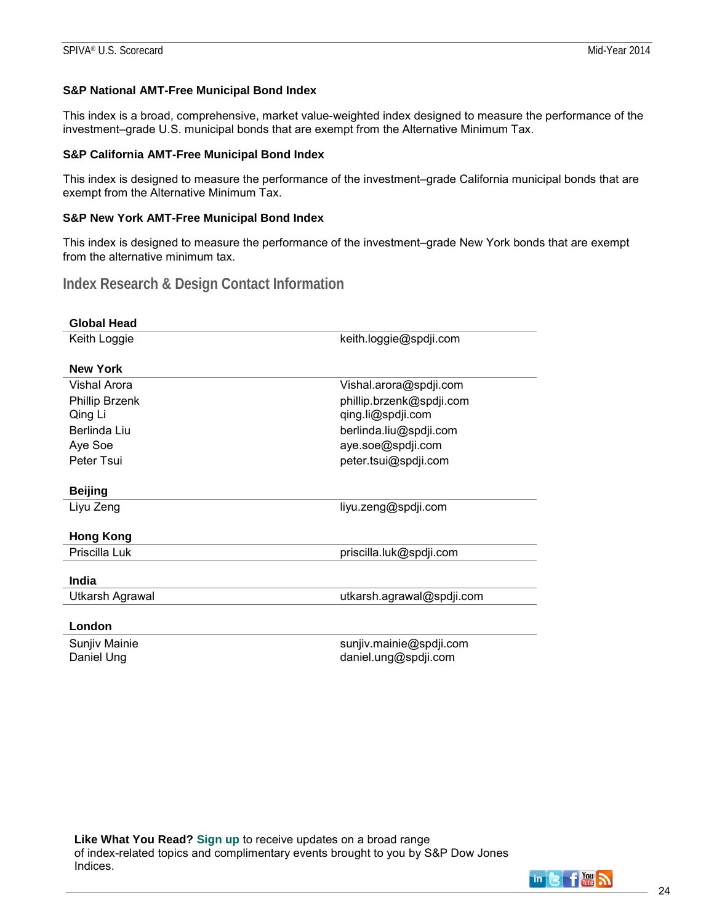#### **S&P National AMT-Free Municipal Bond Index**

This index is a broad, comprehensive, market value-weighted index designed to measure the performance of the investment–grade U.S. municipal bonds that are exempt from the Alternative Minimum Tax.

#### **S&P California AMT-Free Municipal Bond Index**

This index is designed to measure the performance of the investment–grade California municipal bonds that are exempt from the Alternative Minimum Tax.

#### **S&P New York AMT-Free Municipal Bond Index**

This index is designed to measure the performance of the investment–grade New York bonds that are exempt from the alternative minimum tax.

# **Index Research & Design Contact Information**

| <b>Global Head</b>     |                           |
|------------------------|---------------------------|
| Keith Loggie           | keith.loggie@spdji.com    |
| <b>New York</b>        |                           |
| Vishal Arora           | Vishal.arora@spdji.com    |
| Phillip Brzenk         | phillip.brzenk@spdji.com  |
| Qing Li                | qing.li@spdji.com         |
| Berlinda Liu           | berlinda.liu@spdji.com    |
| Aye Soe                | aye.soe@spdji.com         |
| Peter Tsui             | peter.tsui@spdji.com      |
|                        |                           |
| <b>Beijing</b>         |                           |
| Liyu Zeng              | liyu.zeng@spdji.com       |
|                        |                           |
| <b>Hong Kong</b>       |                           |
| Priscilla Luk          | priscilla.luk@spdji.com   |
|                        |                           |
| India                  |                           |
| <b>Utkarsh Agrawal</b> | utkarsh.agrawal@spdji.com |
|                        |                           |
| London                 |                           |
| Sunjiv Mainie          | sunjiv.mainie@spdji.com   |
| Daniel Ung             | daniel.ung@spdji.com      |

**Like What You Read? [Sign up](http://www.spindices.com/registration)** to receive updates on a broad range of index-related topics and complimentary events brought to you by S&P Dow Jones Indices.